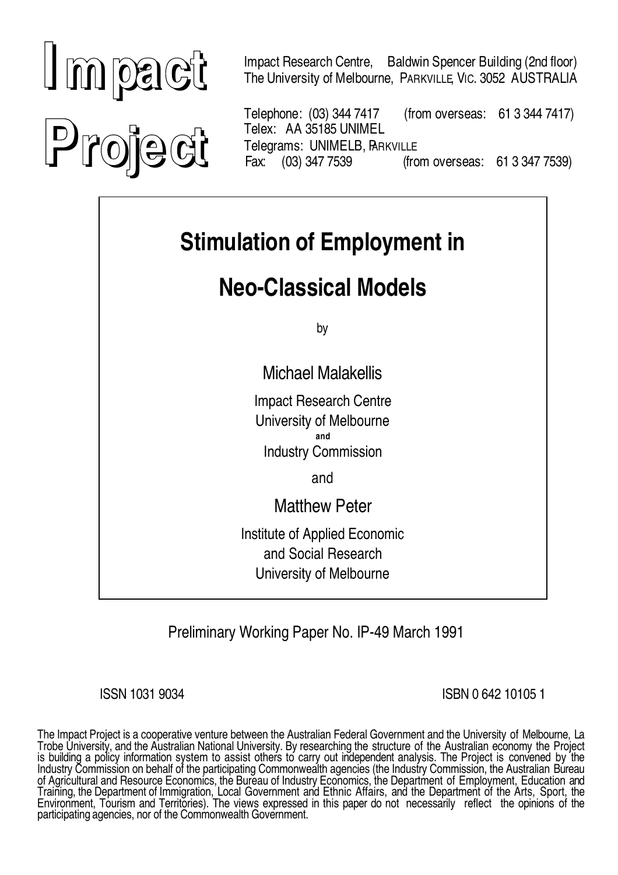# **I mpact Project**

Impact Research Centre, Baldwin Spencer Building (2nd floor) The University of Melbourne, PARKVILLE, VIC. 3052 AUSTRALIA

Telephone: (03) 344 7417 (from overseas: 61 3 344 7417) Telex: AA 35185 UNIMEL Telegrams: UNIMELB, BARKVILLE Fax: (03) 347 7539 (from overseas: 61 3 347 7539)

## **Stimulation of Employment in**

## **Neo-Classical Models**

by

Michael Malakellis

Impact Research Centre University of Melbourne *and*

Industry Commission

and

Matthew Peter

Institute of Applied Economic and Social Research University of Melbourne

Preliminary Working Paper No. IP-49 March 1991

ISSN 1031 9034 ISBN 0 642 10105 1

The Impact Project is a cooperative venture between the Australian Federal Government and the University of Melbourne, La Trobe University, and the Australian National University. By researching the structure of the Australian economy the Project<br>is building a policy information system to assist others to carry out independent analysis. The P of Agricultural and Resource Economics, the Bureau of Industry Economics, the Department of Employment, Education and Training, the Department of Immigration, Local Government and Ethnic Affairs, and the Department of the Arts, Sport, the<br>Environment, Tourism and Territories). The views expressed in this paper do not necessarily reflect t participating agencies, nor of the Commonwealth Government.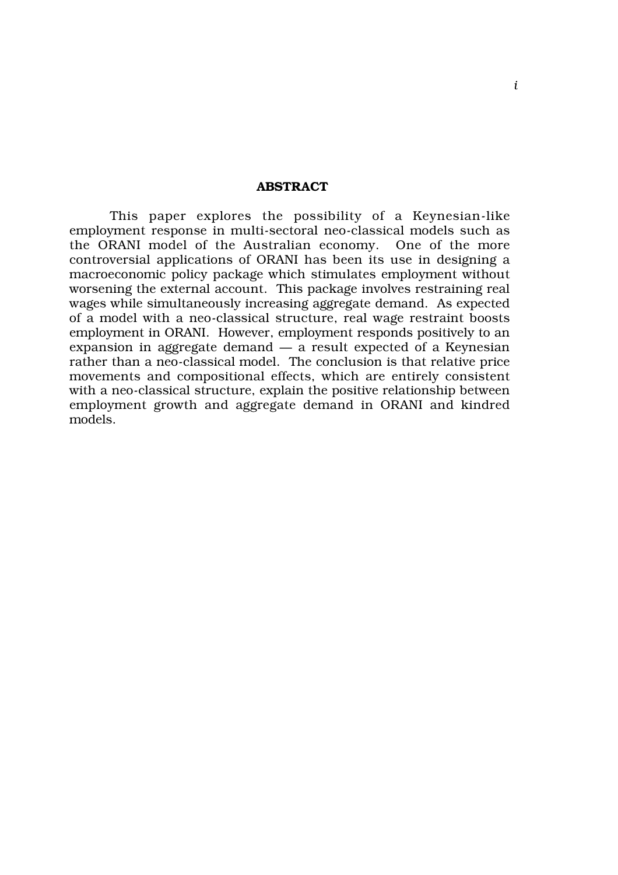#### **ABSTRACT**

This paper explores the possibility of a Keynesian-like employment response in multi-sectoral neo-classical models such as the ORANI model of the Australian economy. One of the more controversial applications of ORANI has been its use in designing a macroeconomic policy package which stimulates employment without worsening the external account. This package involves restraining real wages while simultaneously increasing aggregate demand. As expected of a model with a neo-classical structure, real wage restraint boosts employment in ORANI. However, employment responds positively to an expansion in aggregate demand — a result expected of a Keynesian rather than a neo-classical model. The conclusion is that relative price movements and compositional effects, which are entirely consistent with a neo-classical structure, explain the positive relationship between employment growth and aggregate demand in ORANI and kindred models.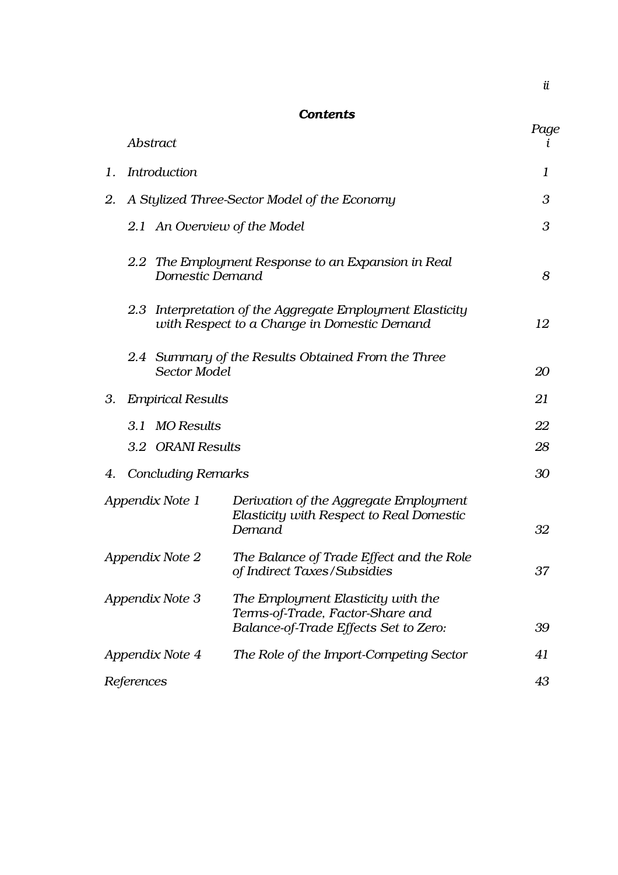|   |    | ٧<br>۰. |    |   |
|---|----|---------|----|---|
| × |    |         |    |   |
|   | ., | I       |    | ٦ |
| × |    | . .     | ۰, |   |

#### *Contents*

|    | <b>Abstract</b>           |                                                                                                                 | Page |
|----|---------------------------|-----------------------------------------------------------------------------------------------------------------|------|
| 1. | <i>Introduction</i>       |                                                                                                                 | 1    |
| 2. |                           | A Stylized Three-Sector Model of the Economy                                                                    | 3    |
|    | $2.1\,$                   | An Overview of the Model                                                                                        | 3    |
|    | Domestic Demand           | 2.2 The Employment Response to an Expansion in Real                                                             | 8    |
|    | $2.3\,$                   | Interpretation of the Aggregate Employment Elasticity<br>with Respect to a Change in Domestic Demand            | 12   |
|    | <b>Sector Model</b>       | 2.4 Summary of the Results Obtained From the Three                                                              | 20   |
| 3. | <b>Empirical Results</b>  |                                                                                                                 | 21   |
|    | 3.1<br><b>MO</b> Results  |                                                                                                                 | 22   |
|    | 3.2 ORANI Results         |                                                                                                                 | 28   |
| 4. | <b>Concluding Remarks</b> |                                                                                                                 | 30   |
|    | Appendix Note 1           | Derivation of the Aggregate Employment<br>Elasticity with Respect to Real Domestic<br>Demand                    | 32   |
|    | Appendix Note 2           | The Balance of Trade Effect and the Role<br>of Indirect Taxes/Subsidies                                         | 37   |
|    | Appendix Note 3           | The Employment Elasticity with the<br>Terms-of-Trade, Factor-Share and<br>Balance-of-Trade Effects Set to Zero: | 39   |
|    | Appendix Note 4           | The Role of the Import-Competing Sector                                                                         | 41   |
|    | References                |                                                                                                                 | 43   |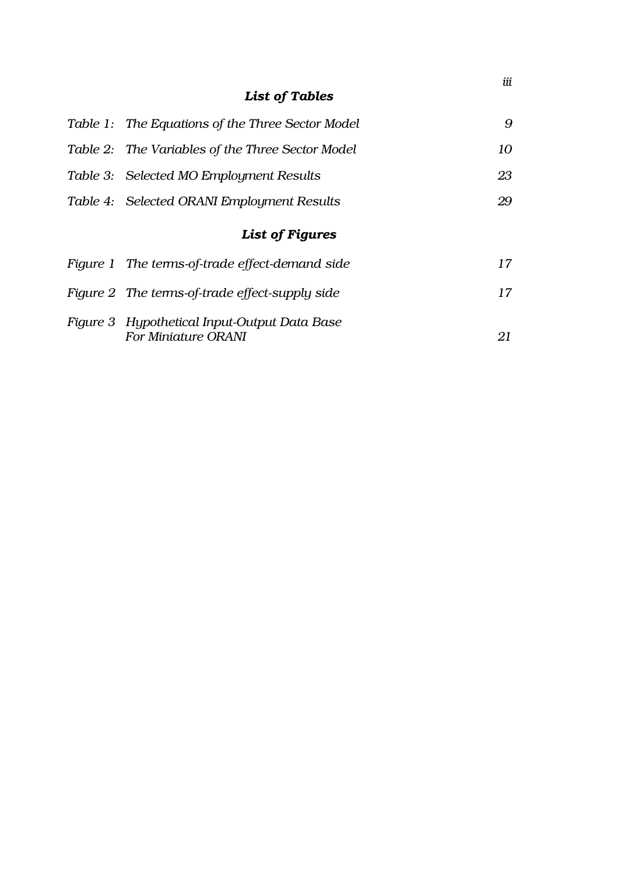### *List of Tables*

| Table 1: The Equations of the Three Sector Model                    | 9  |
|---------------------------------------------------------------------|----|
| Table 2: The Variables of the Three Sector Model                    | 10 |
| Table 3: Selected MO Employment Results                             | 23 |
| Table 4: Selected ORANI Employment Results                          | 29 |
| List of Figures                                                     |    |
| Figure 1 The terms-of-trade effect-demand side                      | 17 |
| Figure 2 The terms-of-trade effect-supply side                      | 17 |
| Figure 3 Hypothetical Input-Output Data Base<br>For Miniature ORANI | 21 |

*iii*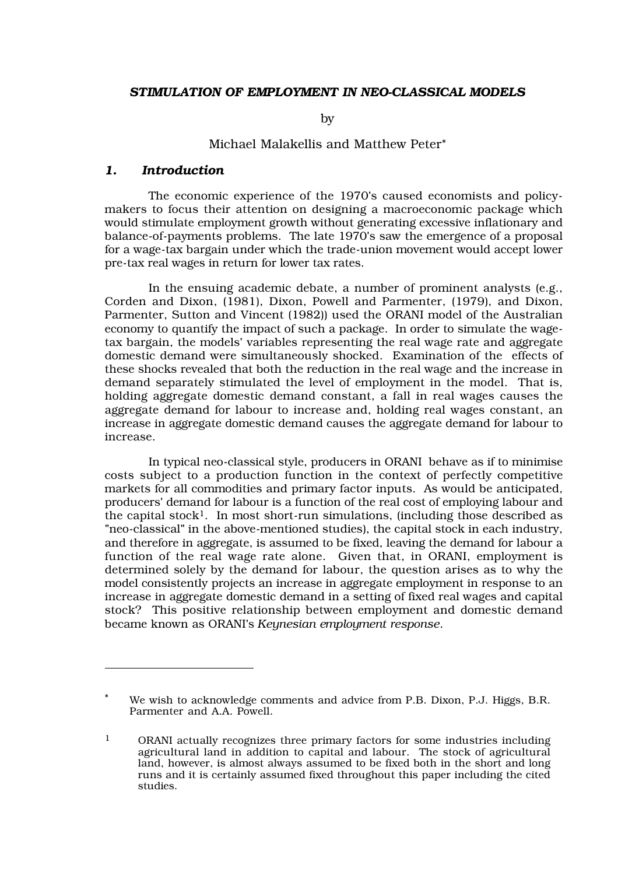#### *STIMULATION OF EMPLOYMENT IN NEO-CLASSICAL MODELS*

by

#### Michael Malakellis and Matthew Peter*\**

#### *1. Introduction*

The economic experience of the 1970's caused economists and policymakers to focus their attention on designing a macroeconomic package which would stimulate employment growth without generating excessive inflationary and balance-of-payments problems. The late 1970's saw the emergence of a proposal for a wage-tax bargain under which the trade-union movement would accept lower pre-tax real wages in return for lower tax rates.

In the ensuing academic debate, a number of prominent analysts (e.g., Corden and Dixon, (1981), Dixon, Powell and Parmenter, (1979), and Dixon, Parmenter, Sutton and Vincent (1982)) used the ORANI model of the Australian economy to quantify the impact of such a package. In order to simulate the wagetax bargain, the models' variables representing the real wage rate and aggregate domestic demand were simultaneously shocked. Examination of the effects of these shocks revealed that both the reduction in the real wage and the increase in demand separately stimulated the level of employment in the model. That is, holding aggregate domestic demand constant, a fall in real wages causes the aggregate demand for labour to increase and, holding real wages constant, an increase in aggregate domestic demand causes the aggregate demand for labour to increase.

In typical neo-classical style, producers in ORANI behave as if to minimise costs subject to a production function in the context of perfectly competitive markets for all commodities and primary factor inputs. As would be anticipated, producers' demand for labour is a function of the real cost of employing labour and the capital stock<sup>1</sup>. In most short-run simulations, (including those described as "neo-classical" in the above-mentioned studies), the capital stock in each industry, and therefore in aggregate, is assumed to be fixed, leaving the demand for labour a function of the real wage rate alone. Given that, in ORANI, employment is determined solely by the demand for labour, the question arises as to why the model consistently projects an increase in aggregate employment in response to an increase in aggregate domestic demand in a setting of fixed real wages and capital stock? This positive relationship between employment and domestic demand became known as ORANI's *Keynesian employment response*.

We wish to acknowledge comments and advice from P.B. Dixon, P.J. Higgs, B.R. Parmenter and A.A. Powell.

<sup>1</sup> ORANI actually recognizes three primary factors for some industries including agricultural land in addition to capital and labour. The stock of agricultural land, however, is almost always assumed to be fixed both in the short and long runs and it is certainly assumed fixed throughout this paper including the cited studies.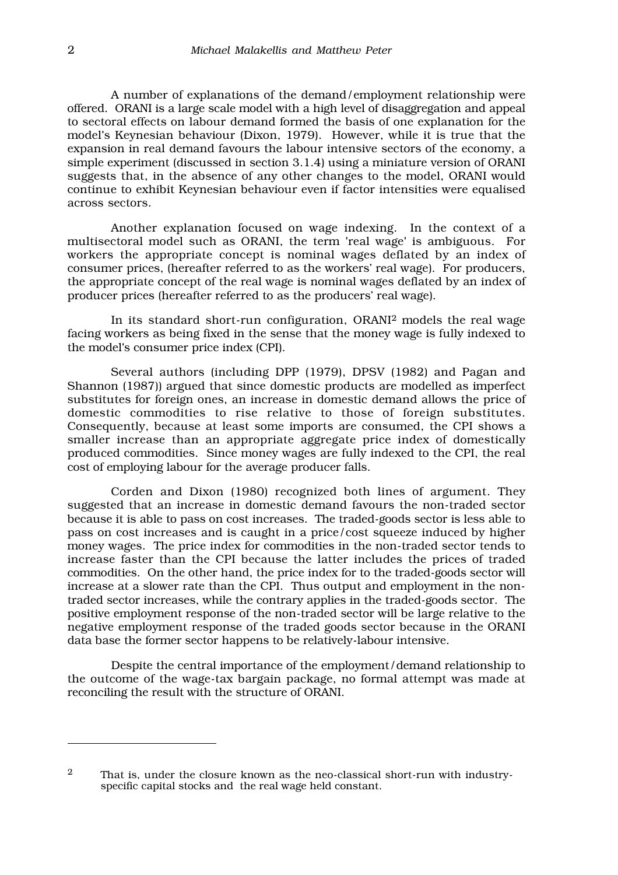A number of explanations of the demand/employment relationship were offered. ORANI is a large scale model with a high level of disaggregation and appeal to sectoral effects on labour demand formed the basis of one explanation for the model's Keynesian behaviour (Dixon, 1979). However, while it is true that the expansion in real demand favours the labour intensive sectors of the economy, a simple experiment (discussed in section 3.1.4) using a miniature version of ORANI suggests that, in the absence of any other changes to the model, ORANI would continue to exhibit Keynesian behaviour even if factor intensities were equalised across sectors.

 Another explanation focused on wage indexing. In the context of a multisectoral model such as ORANI, the term 'real wage' is ambiguous. For workers the appropriate concept is nominal wages deflated by an index of consumer prices, (hereafter referred to as the workers' real wage). For producers, the appropriate concept of the real wage is nominal wages deflated by an index of producer prices (hereafter referred to as the producers' real wage).

In its standard short-run configuration, ORANI2 models the real wage facing workers as being fixed in the sense that the money wage is fully indexed to the model's consumer price index (CPI).

Several authors (including DPP (1979), DPSV (1982) and Pagan and Shannon (1987)) argued that since domestic products are modelled as imperfect substitutes for foreign ones, an increase in domestic demand allows the price of domestic commodities to rise relative to those of foreign substitutes. Consequently, because at least some imports are consumed, the CPI shows a smaller increase than an appropriate aggregate price index of domestically produced commodities. Since money wages are fully indexed to the CPI, the real cost of employing labour for the average producer falls.

Corden and Dixon (1980) recognized both lines of argument. They suggested that an increase in domestic demand favours the non-traded sector because it is able to pass on cost increases. The traded-goods sector is less able to pass on cost increases and is caught in a price/cost squeeze induced by higher money wages. The price index for commodities in the non-traded sector tends to increase faster than the CPI because the latter includes the prices of traded commodities. On the other hand, the price index for to the traded-goods sector will increase at a slower rate than the CPI. Thus output and employment in the nontraded sector increases, while the contrary applies in the traded-goods sector. The positive employment response of the non-traded sector will be large relative to the negative employment response of the traded goods sector because in the ORANI data base the former sector happens to be relatively-labour intensive.

Despite the central importance of the employment/demand relationship to the outcome of the wage-tax bargain package, no formal attempt was made at reconciling the result with the structure of ORANI.

<sup>&</sup>lt;sup>2</sup> That is, under the closure known as the neo-classical short-run with industryspecific capital stocks and the real wage held constant.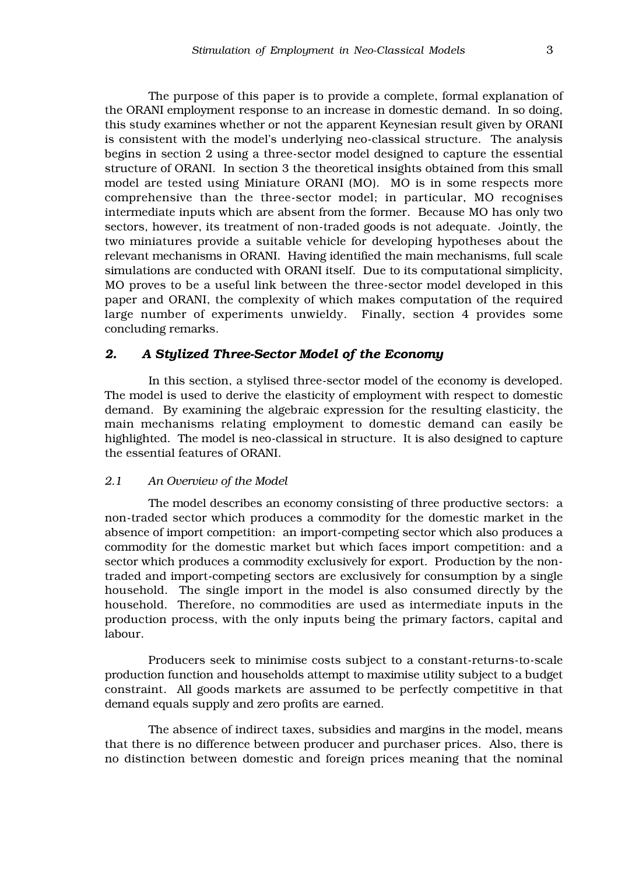The purpose of this paper is to provide a complete, formal explanation of the ORANI employment response to an increase in domestic demand. In so doing, this study examines whether or not the apparent Keynesian result given by ORANI is consistent with the model's underlying neo-classical structure. The analysis begins in section 2 using a three-sector model designed to capture the essential structure of ORANI. In section 3 the theoretical insights obtained from this small model are tested using Miniature ORANI (MO). MO is in some respects more comprehensive than the three-sector model; in particular, MO recognises intermediate inputs which are absent from the former. Because MO has only two sectors, however, its treatment of non-traded goods is not adequate. Jointly, the two miniatures provide a suitable vehicle for developing hypotheses about the relevant mechanisms in ORANI. Having identified the main mechanisms, full scale simulations are conducted with ORANI itself. Due to its computational simplicity, MO proves to be a useful link between the three-sector model developed in this paper and ORANI, the complexity of which makes computation of the required large number of experiments unwieldy. Finally, section 4 provides some concluding remarks.

#### *2. A Stylized Three-Sector Model of the Economy*

In this section, a stylised three-sector model of the economy is developed. The model is used to derive the elasticity of employment with respect to domestic demand. By examining the algebraic expression for the resulting elasticity, the main mechanisms relating employment to domestic demand can easily be highlighted. The model is neo-classical in structure. It is also designed to capture the essential features of ORANI.

#### *2.1 An Overview of the Model*

The model describes an economy consisting of three productive sectors: a non-traded sector which produces a commodity for the domestic market in the absence of import competition: an import-competing sector which also produces a commodity for the domestic market but which faces import competition: and a sector which produces a commodity exclusively for export. Production by the nontraded and import-competing sectors are exclusively for consumption by a single household. The single import in the model is also consumed directly by the household. Therefore, no commodities are used as intermediate inputs in the production process, with the only inputs being the primary factors, capital and labour.

Producers seek to minimise costs subject to a constant-returns-to-scale production function and households attempt to maximise utility subject to a budget constraint. All goods markets are assumed to be perfectly competitive in that demand equals supply and zero profits are earned.

The absence of indirect taxes, subsidies and margins in the model, means that there is no difference between producer and purchaser prices. Also, there is no distinction between domestic and foreign prices meaning that the nominal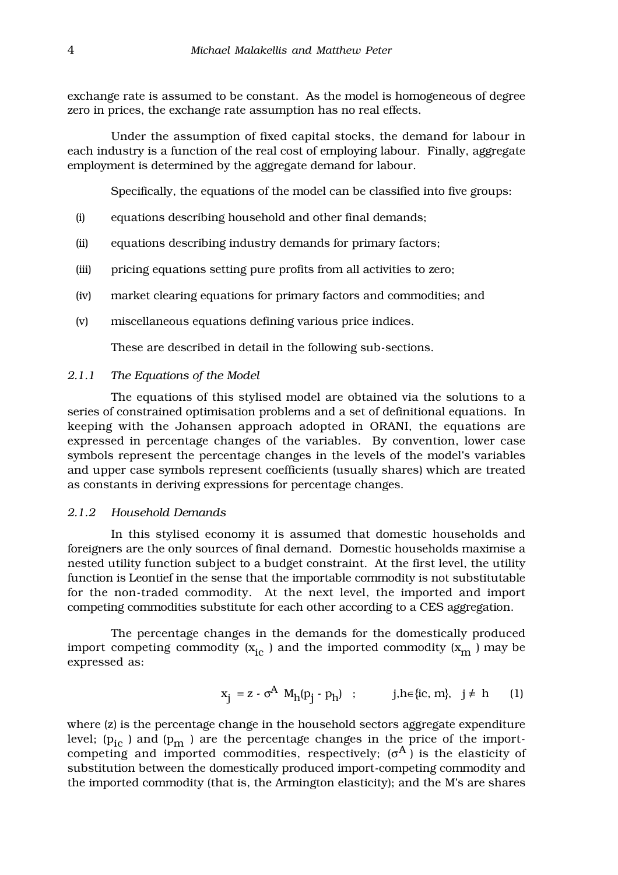exchange rate is assumed to be constant. As the model is homogeneous of degree zero in prices, the exchange rate assumption has no real effects.

Under the assumption of fixed capital stocks, the demand for labour in each industry is a function of the real cost of employing labour. Finally, aggregate employment is determined by the aggregate demand for labour.

Specifically, the equations of the model can be classified into five groups:

- (i) equations describing household and other final demands;
- (ii) equations describing industry demands for primary factors;
- (iii) pricing equations setting pure profits from all activities to zero;
- (iv) market clearing equations for primary factors and commodities; and
- (v) miscellaneous equations defining various price indices.

These are described in detail in the following sub-sections.

#### *2.1.1 The Equations of the Model*

The equations of this stylised model are obtained via the solutions to a series of constrained optimisation problems and a set of definitional equations. In keeping with the Johansen approach adopted in ORANI, the equations are expressed in percentage changes of the variables. By convention, lower case symbols represent the percentage changes in the levels of the model's variables and upper case symbols represent coefficients (usually shares) which are treated as constants in deriving expressions for percentage changes.

#### *2.1.2 Household Demands*

In this stylised economy it is assumed that domestic households and foreigners are the only sources of final demand. Domestic households maximise a nested utility function subject to a budget constraint. At the first level, the utility function is Leontief in the sense that the importable commodity is not substitutable for the non-traded commodity. At the next level, the imported and import competing commodities substitute for each other according to a CES aggregation.

The percentage changes in the demands for the domestically produced import competing commodity  $(x_{i c})$  and the imported commodity  $(x_m)$  may be expressed as:

$$
x_j = z \cdot \sigma^A M_h(p_j \cdot p_h) \quad ; \qquad j, h \in \{ic, m\}, \quad j \neq h \qquad (1)
$$

where (z) is the percentage change in the household sectors aggregate expenditure level;  $(p_{i}$  ) and  $(p_m)$  are the percentage changes in the price of the importcompeting and imported commodities, respectively;  $(\sigma^A)$  is the elasticity of substitution between the domestically produced import-competing commodity and the imported commodity (that is, the Armington elasticity); and the M's are shares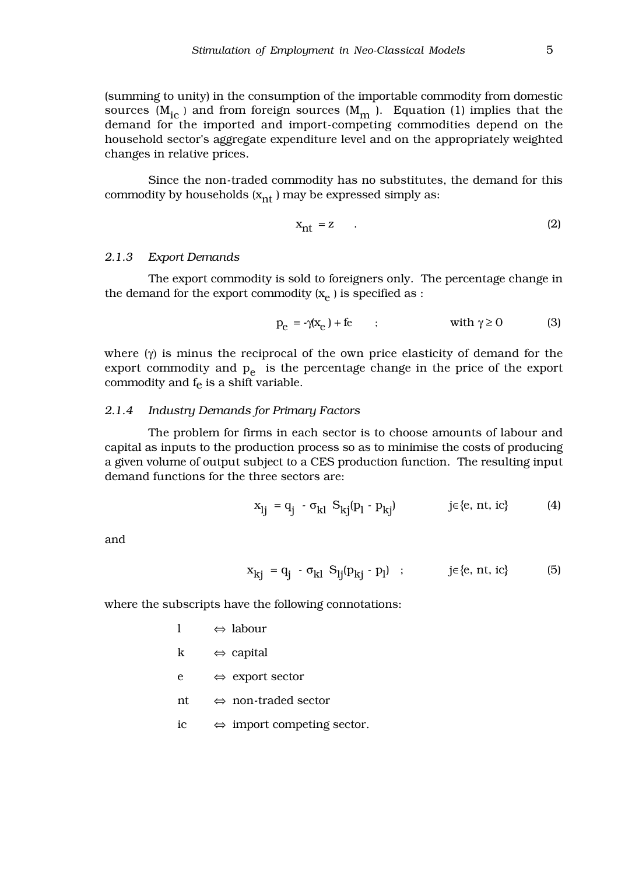(summing to unity) in the consumption of the importable commodity from domestic sources ( $M_{i\text{c}}$ ) and from foreign sources ( $M_{m}$ ). Equation (1) implies that the demand for the imported and import-competing commodities depend on the household sector's aggregate expenditure level and on the appropriately weighted changes in relative prices.

Since the non-traded commodity has no substitutes, the demand for this commodity by households  $(x_{nt})$  may be expressed simply as:

$$
x_{nt} = z \t . \t (2)
$$

#### *2.1.3 Export Demands*

The export commodity is sold to foreigners only. The percentage change in the demand for the export commodity  $(x_e)$  is specified as :

$$
p_e = -\gamma(x_e) + fe \qquad ; \qquad \text{with } \gamma \ge 0 \tag{3}
$$

where  $(\gamma)$  is minus the reciprocal of the own price elasticity of demand for the export commodity and  $p_e$  is the percentage change in the price of the export commodity and  $f_e$  is a shift variable.

#### *2.1.4 Industry Demands for Primary Factors*

The problem for firms in each sector is to choose amounts of labour and capital as inputs to the production process so as to minimise the costs of producing a given volume of output subject to a CES production function. The resulting input demand functions for the three sectors are:

$$
x_{lj} = q_j - \sigma_{kl} S_{kj}(p_l - p_{kj}) \qquad \qquad j \in \{e, nt, ic\} \tag{4}
$$

and

$$
x_{kj} = q_j - \sigma_{kl} S_{lj}(p_{kj} - p_l) \quad ; \qquad j \in \{e, nt, ic\} \tag{5}
$$

where the subscripts have the following connotations:

| 1  | $\Leftrightarrow$ labour                   |
|----|--------------------------------------------|
| k  | $\Leftrightarrow$ capital                  |
| e  | $\Leftrightarrow$ export sector            |
| nt | $\Leftrightarrow$ non-traded sector        |
| ic | $\Leftrightarrow$ import competing sector. |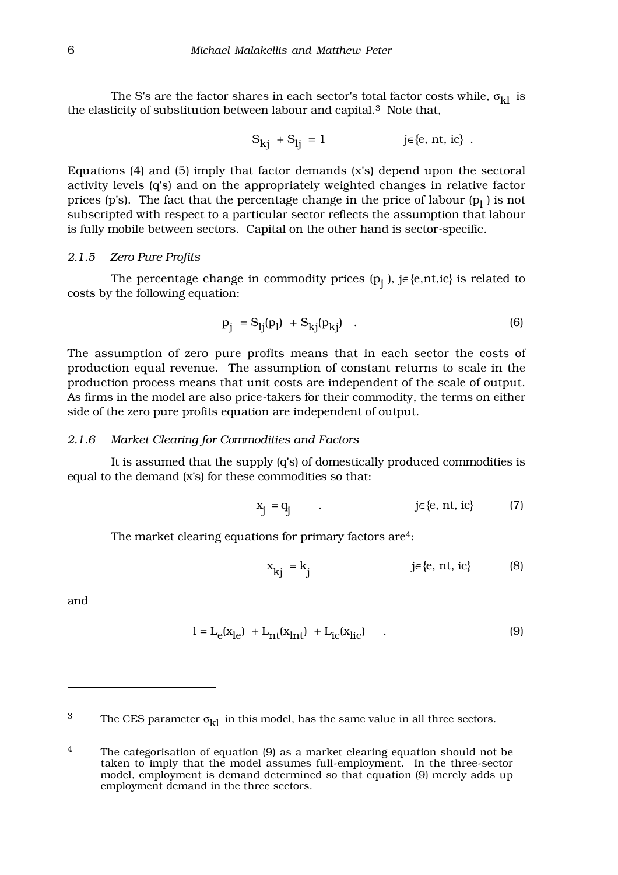The S's are the factor shares in each sector's total factor costs while,  $\sigma_{kl}$  is the elasticity of substitution between labour and capital.3 Note that,

$$
S_{kj} + S_{lj} = 1 \qquad \qquad j \in \{e, nt, ic\} .
$$

Equations (4) and (5) imply that factor demands (x's) depend upon the sectoral activity levels (q's) and on the appropriately weighted changes in relative factor prices (p's). The fact that the percentage change in the price of labour ( $\mathrm{p}_\mathrm{l}$  ) is not subscripted with respect to a particular sector reflects the assumption that labour is fully mobile between sectors. Capital on the other hand is sector-specific.

#### *2.1.5 Zero Pure Profits*

The percentage change in commodity prices ( $p_j$  ), j∈{e,nt,ic} is related to costs by the following equation:

$$
p_j = S_{lj}(p_l) + S_{kj}(p_{kj}) \quad . \tag{6}
$$

The assumption of zero pure profits means that in each sector the costs of production equal revenue. The assumption of constant returns to scale in the production process means that unit costs are independent of the scale of output. As firms in the model are also price-takers for their commodity, the terms on either side of the zero pure profits equation are independent of output.

#### *2.1.6 Market Clearing for Commodities and Factors*

It is assumed that the supply (q's) of domestically produced commodities is equal to the demand (x's) for these commodities so that:

$$
x_j = q_j \qquad . \qquad j \in \{e, nt, ic\} \qquad (7)
$$

The market clearing equations for primary factors are<sup>4</sup>:

$$
x_{kj} = k_j \qquad j \in \{e, nt, ic\} \qquad (8)
$$

and

$$
1 = L_{e}(x_{1e}) + L_{nt}(x_{1nt}) + L_{ic}(x_{1ic})
$$
 (9)

<sup>3</sup> The CES parameter  $\sigma_{kl}$  in this model, has the same value in all three sectors.

<sup>&</sup>lt;sup>4</sup> The categorisation of equation (9) as a market clearing equation should not be taken to imply that the model assumes full-employment. In the three-sector model, employment is demand determined so that equation (9) merely adds up employment demand in the three sectors.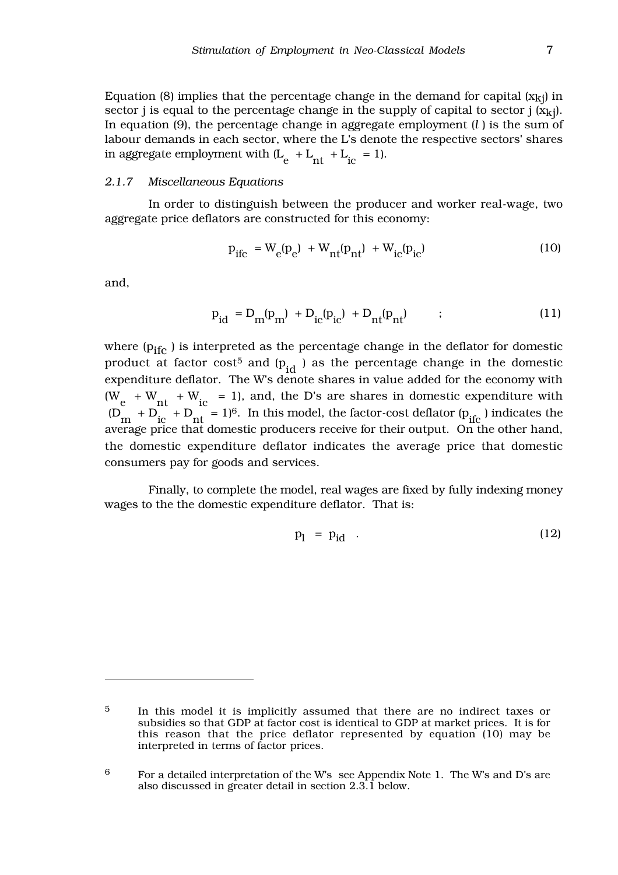Equation (8) implies that the percentage change in the demand for capital  $(x_{ki})$  in sector j is equal to the percentage change in the supply of capital to sector j  $(x_{ki})$ . In equation (9), the percentage change in aggregate employment (*l* ) is the sum of labour demands in each sector, where the L's denote the respective sectors' shares in aggregate employment with  $(L_e + L_{nt} + L_{ic} = 1)$ .

#### *2.1.7 Miscellaneous Equations*

In order to distinguish between the producer and worker real-wage, two aggregate price deflators are constructed for this economy:

$$
p_{\text{ifc}} = W_{\text{e}}(p_{\text{e}}) + W_{\text{nt}}(p_{\text{nt}}) + W_{\text{ic}}(p_{\text{ic}})
$$
 (10)

and,

$$
p_{id} = D_m(p_m) + D_{ic}(p_{ic}) + D_{nt}(p_{nt}) \t\t(11)
$$

where  $(p_{ifc})$  is interpreted as the percentage change in the deflator for domestic product at factor cost<sup>5</sup> and  $(p_{id}$  ) as the percentage change in the domestic expenditure deflator. The W's denote shares in value added for the economy with  $(W_e + W_{nt} + W_{ic} = 1)$ , and, the D's are shares in domestic expenditure with  $(D_{\text{m}} + D_{\text{ic}} + D_{\text{nt}} = 1)^6$ . In this model, the factor-cost deflator  $(p_{\text{ific}})$  indicates the average price that domestic producers receive for their output. On the other hand, the domestic expenditure deflator indicates the average price that domestic consumers pay for goods and services.

Finally, to complete the model, real wages are fixed by fully indexing money wages to the the domestic expenditure deflator. That is:

$$
p_l = p_{id} \quad . \tag{12}
$$

<sup>5</sup> In this model it is implicitly assumed that there are no indirect taxes or subsidies so that GDP at factor cost is identical to GDP at market prices. It is for this reason that the price deflator represented by equation (10) may be interpreted in terms of factor prices.

 $6$  For a detailed interpretation of the W's see Appendix Note 1. The W's and D's are also discussed in greater detail in section 2.3.1 below.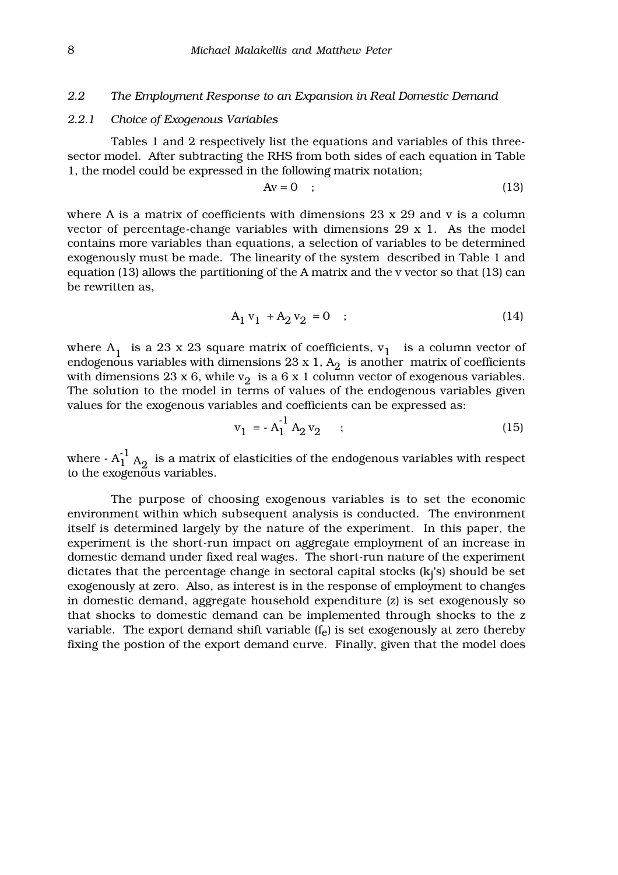#### *2.2 The Employment Response to an Expansion in Real Domestic Demand*

#### *2.2.1 Choice of Exogenous Variables*

Tables 1 and 2 respectively list the equations and variables of this threesector model. After subtracting the RHS from both sides of each equation in Table 1, the model could be expressed in the following matrix notation;

$$
Av = 0 \quad ; \tag{13}
$$

where A is a matrix of coefficients with dimensions  $23 \times 29$  and v is a column vector of percentage-change variables with dimensions 29 x 1. As the model contains more variables than equations, a selection of variables to be determined exogenously must be made. The linearity of the system described in Table 1 and equation (13) allows the partitioning of the A matrix and the v vector so that (13) can be rewritten as,

$$
A_1 v_1 + A_2 v_2 = 0 \quad ; \tag{14}
$$

where  $A_1$  is a 23 x 23 square matrix of coefficients,  $v_1$  is a column vector of endogenous variables with dimensions 23 x 1,  $A_2$  is another matrix of coefficients with dimensions 23 x 6, while  $v_2$  is a 6 x 1 column vector of exogenous variables. The solution to the model in terms of values of the endogenous variables given values for the exogenous variables and coefficients can be expressed as:

$$
v_1 = -A_1^{-1} A_2 v_2 \qquad ; \qquad (15)
$$

where -  $A_1^{-1}$   $A_2$  is a matrix of elasticities of the endogenous variables with respect to the exogenous variables.

The purpose of choosing exogenous variables is to set the economic environment within which subsequent analysis is conducted. The environment itself is determined largely by the nature of the experiment. In this paper, the experiment is the short-run impact on aggregate employment of an increase in domestic demand under fixed real wages. The short-run nature of the experiment dictates that the percentage change in sectoral capital stocks  $(k_i's)$  should be set exogenously at zero. Also, as interest is in the response of employment to changes in domestic demand, aggregate household expenditure (z) is set exogenously so that shocks to domestic demand can be implemented through shocks to the z variable. The export demand shift variable (f<sub>e</sub>) is set exogenously at zero thereby fixing the postion of the export demand curve. Finally, given that the model does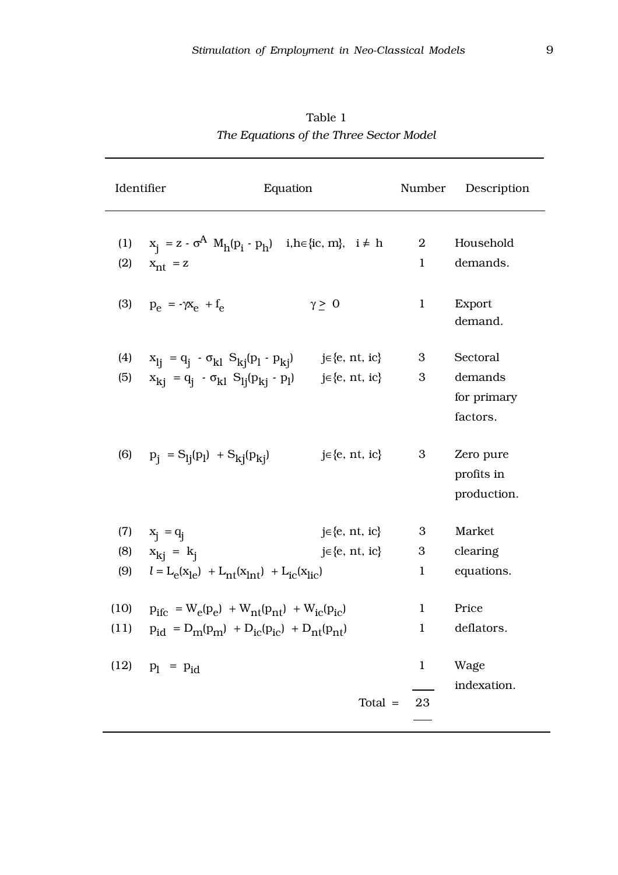| Identifier   | Equation                                                                                                                                                             |                                                | Number                           | Description                                    |
|--------------|----------------------------------------------------------------------------------------------------------------------------------------------------------------------|------------------------------------------------|----------------------------------|------------------------------------------------|
| (1)<br>(2)   | $x_i = z \cdot \sigma^A M_h(p_i \cdot p_h)$ i, h = {ic, m}, i $\neq h$<br>$x_{nt}$ = z                                                                               |                                                | $\boldsymbol{2}$<br>$\mathbf{1}$ | Household<br>demands.                          |
|              | (3) $p_e = -\gamma x_e + f_e$                                                                                                                                        | $\gamma \geq 0$                                | $\mathbf{1}$                     | Export<br>demand.                              |
| (4)<br>(5)   | $x_{1j} = q_j - \sigma_{kl} S_{kj}(p_l - p_{kj})$<br>$x_{ki} = q_i - \sigma_{kl} S_{lj}(p_{ki} - p_l)$                                                               | $j \in \{e, nt, ic\}$<br>$j \in \{e, nt, ic\}$ | 3<br>3                           | Sectoral<br>demands<br>for primary<br>factors. |
|              | (6) $p_i = S_{1i}(p_l) + S_{ki}(p_{ki})$                                                                                                                             | $j \in \{e, nt, ic\}$                          | 3 <sup>1</sup>                   | Zero pure<br>profits in<br>production.         |
|              | (7) $x_i = q_i$                                                                                                                                                      | $j \in \{e, nt, ic\}$                          | 3                                | Market                                         |
| (8)          | $x_{ki} = k_i$                                                                                                                                                       | $j \in \{e, nt, ic\}$                          | 3                                | clearing                                       |
| (9)          | $l = L_e(x_{le}) + L_{nt}(x_{int}) + L_{ic}(x_{lie})$                                                                                                                |                                                | $\mathbf{1}$                     | equations.                                     |
| (10)<br>(11) | $p_{\text{ifc}} = W_{\text{e}}(p_{\text{e}}) + W_{\text{nt}}(p_{\text{nt}}) + W_{\text{ic}}(p_{\text{ic}})$<br>$p_{id} = D_m(p_m) + D_{ic}(p_{ic}) + D_{nt}(p_{nt})$ |                                                | $\mathbf{1}$<br>$\mathbf{1}$     | Price<br>deflators.                            |
|              | (12) $p_l = p_{id}$                                                                                                                                                  | $Total =$                                      | $\mathbf{1}$<br>23               | Wage<br>indexation.                            |
|              |                                                                                                                                                                      |                                                |                                  |                                                |

Table 1 *The Equations of the Three Sector Model*

 $\overline{\phantom{a}}$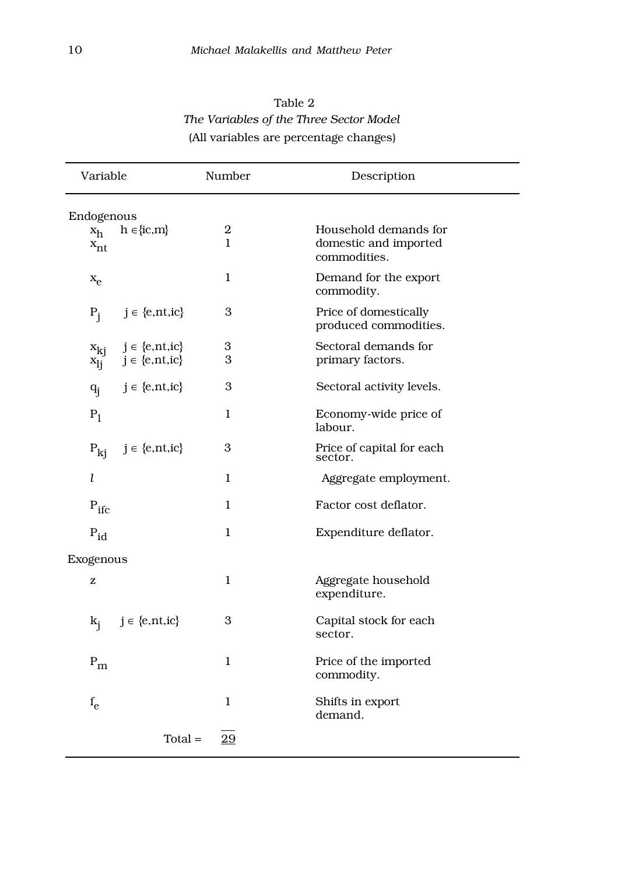| Table 2                                 |
|-----------------------------------------|
| The Variables of the Three Sector Model |
| (All variables are percentage changes)  |

| Variable                  |                                                | Number                           | Description                                                    |
|---------------------------|------------------------------------------------|----------------------------------|----------------------------------------------------------------|
| Endogenous                |                                                |                                  |                                                                |
| $x_h$<br>$x_{nt}$         | $h \in \{ic, m\}$                              | $\boldsymbol{2}$<br>$\mathbf{1}$ | Household demands for<br>domestic and imported<br>commodities. |
| $x_e$                     |                                                | $\mathbf{1}$                     | Demand for the export<br>commodity.                            |
| $P_i$                     | $j \in \{e, nt, ic\}$                          | 3                                | Price of domestically<br>produced commodities.                 |
| $x_{ki}$<br>$x_{1j}$      | $j \in \{e, nt, ic\}$<br>$j \in \{e, nt, ic\}$ | 3<br>3                           | Sectoral demands for<br>primary factors.                       |
| $q_i$                     | $j \in \{e, nt, ic\}$                          | 3                                | Sectoral activity levels.                                      |
| $P_1$                     |                                                | $\mathbf{1}$                     | Economy-wide price of<br>labour.                               |
| $P_{kj}$                  | $j \in \{e, nt, ic\}$                          | 3                                | Price of capital for each<br>sector.                           |
| l                         |                                                | $\mathbf{1}$                     | Aggregate employment.                                          |
| $P_{\text{ifc}}$          |                                                | $\mathbf{1}$                     | Factor cost deflator.                                          |
| $P_{id}$                  |                                                | $\mathbf{1}$                     | Expenditure deflator.                                          |
| Exogenous                 |                                                |                                  |                                                                |
| z                         |                                                | $\mathbf{1}$                     | Aggregate household<br>expenditure.                            |
|                           | $k_j$ $j \in \{e, nt, ic\}$                    | 3                                | Capital stock for each<br>sector.                              |
| $\mathrm{P}_{\mathrm{m}}$ |                                                | $\mathbf{1}$                     | Price of the imported<br>commodity.                            |
| $f_e$                     |                                                | $\mathbf{1}$                     | Shifts in export<br>demand.                                    |
|                           | $Total =$                                      | 29                               |                                                                |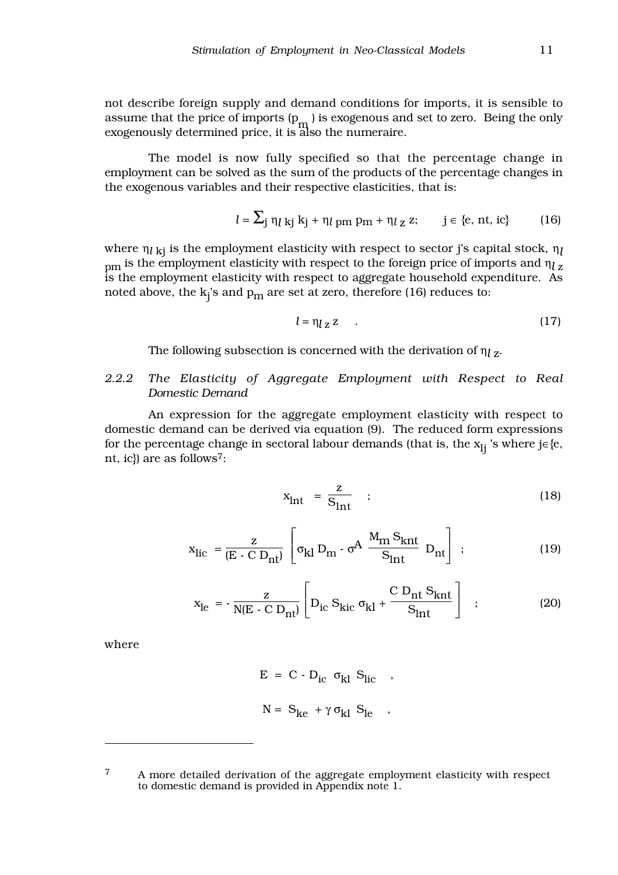not describe foreign supply and demand conditions for imports, it is sensible to assume that the price of imports  $(p_m)$  is exogenous and set to zero. Being the only exogenously determined price, it is also the numeraire.

The model is now fully specified so that the percentage change in employment can be solved as the sum of the products of the percentage changes in the exogenous variables and their respective elasticities, that is:

$$
l = \sum_j \eta_l \mathbf{k}_j \mathbf{k}_j + \eta_l \mathbf{p}_m \mathbf{p}_m + \eta_l \mathbf{z} \mathbf{z}; \qquad j \in \{e, nt, ic\}
$$
 (16)

where η*l* kj is the employment elasticity with respect to sector j's capital stock, η*l* pm is the employment elasticity with respect to the foreign price of imports and η*l*<sup>z</sup> is the employment elasticity with respect to aggregate household expenditure. As noted above, the  $\mathrm{k_j}$ 's and  $\mathrm{p_m}$  are set at zero, therefore (16) reduces to:

$$
l = \eta_{l \, \mathbf{Z}} \, \mathbf{Z} \tag{17}
$$

The following subsection is concerned with the derivation of η*l* z.

#### *2.2.2 The Elasticity of Aggregate Employment with Respect to Real Domestic Demand*

An expression for the aggregate employment elasticity with respect to domestic demand can be derived via equation (9). The reduced form expressions for the percentage change in sectoral labour demands (that is, the  $x_{li}$  's where j∈{e, nt, ic}) are as follows<sup>7</sup>:

$$
x_{\text{Int}} = \frac{z}{S_{\text{Int}}} \quad ; \tag{18}
$$

$$
x_{\text{lic}} = \frac{z}{(E - C D_{\text{nt}})} \left[ \sigma_{kl} D_{\text{m}} - \sigma^A \frac{M_{\text{m}} S_{\text{knt}}}{S_{\text{int}}} D_{\text{nt}} \right] ; \tag{19}
$$

$$
x_{\text{le}} = -\frac{z}{N(E - C D_{\text{nt}})} \left[ D_{\text{ic}} S_{\text{kic}} \sigma_{\text{kl}} + \frac{C D_{\text{nt}} S_{\text{knt}}}{S_{\text{int}}} \right] ; \tag{20}
$$

where

$$
E = C - D_{ic} \sigma_{kl} S_{lic} ,
$$
  

$$
N = S_{ke} + \gamma \sigma_{kl} S_{le} ,
$$

<sup>&</sup>lt;sup>7</sup> A more detailed derivation of the aggregate employment elasticity with respect to domestic demand is provided in Appendix note 1.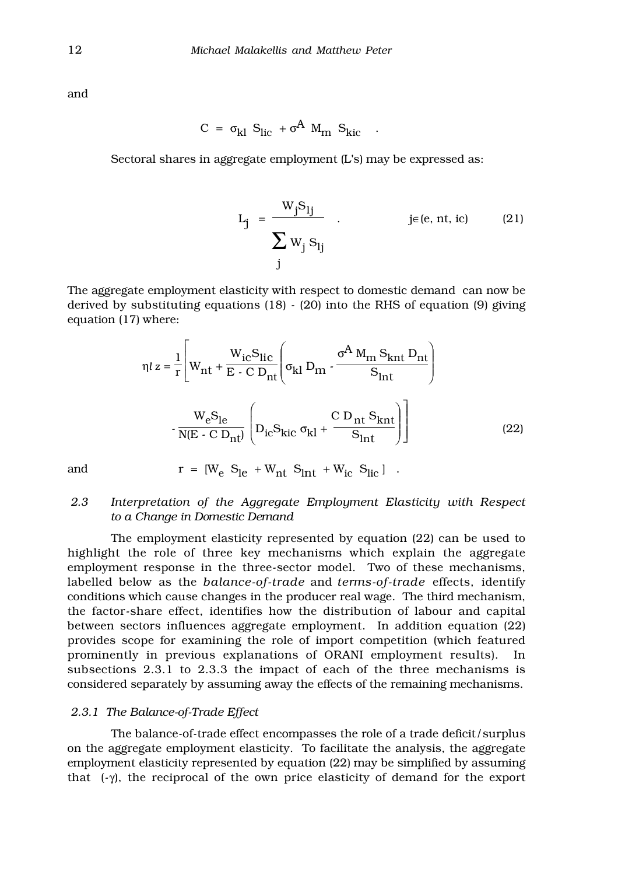and

$$
C = \sigma_{kl} S_{lic} + \sigma^A M_m S_{kic} .
$$

Sectoral shares in aggregate employment (L's) may be expressed as:

$$
L_j = \frac{W_j S_{lj}}{\sum_{j} W_j S_{lj}}
$$
  $j \in (e, nt, ic)$  (21)

The aggregate employment elasticity with respect to domestic demand can now be derived by substituting equations (18) - (20) into the RHS of equation (9) giving equation (17) where:

$$
\eta l z = \frac{1}{r} \left[ W_{\text{nt}} + \frac{W_{\text{ic}} S_{\text{lic}}}{E \cdot C D_{\text{nt}}} \left( \sigma_{\text{kl}} D_{\text{m}} - \frac{\sigma^A M_{\text{m}} S_{\text{knt}} D_{\text{nt}}}{S_{\text{int}}} \right) \right]
$$

$$
- \frac{W_{\text{e}} S_{\text{le}}}{N(E \cdot C D_{\text{nt}})} \left( D_{\text{ic}} S_{\text{kic}} \sigma_{\text{kl}} + \frac{C D_{\text{nt}} S_{\text{knt}}}{S_{\text{int}}} \right) \right]
$$
(22)

and 
$$
r = [W_e S_{le} + W_{nt} S_{int} + W_{ic} S_{lic}]
$$
.

#### *2.3 Interpretation of the Aggregate Employment Elasticity with Respect to a Change in Domestic Demand*

The employment elasticity represented by equation (22) can be used to highlight the role of three key mechanisms which explain the aggregate employment response in the three-sector model. Two of these mechanisms, labelled below as the *balance-of-trade* and *terms-of-trade* effects, identify conditions which cause changes in the producer real wage. The third mechanism, the factor-share effect, identifies how the distribution of labour and capital between sectors influences aggregate employment. In addition equation (22) provides scope for examining the role of import competition (which featured prominently in previous explanations of ORANI employment results). In subsections 2.3.1 to 2.3.3 the impact of each of the three mechanisms is considered separately by assuming away the effects of the remaining mechanisms.

#### *2.3.1 The Balance-of-Trade Effect*

The balance-of-trade effect encompasses the role of a trade deficit/surplus on the aggregate employment elasticity. To facilitate the analysis, the aggregate employment elasticity represented by equation (22) may be simplified by assuming that  $(-\gamma)$ , the reciprocal of the own price elasticity of demand for the export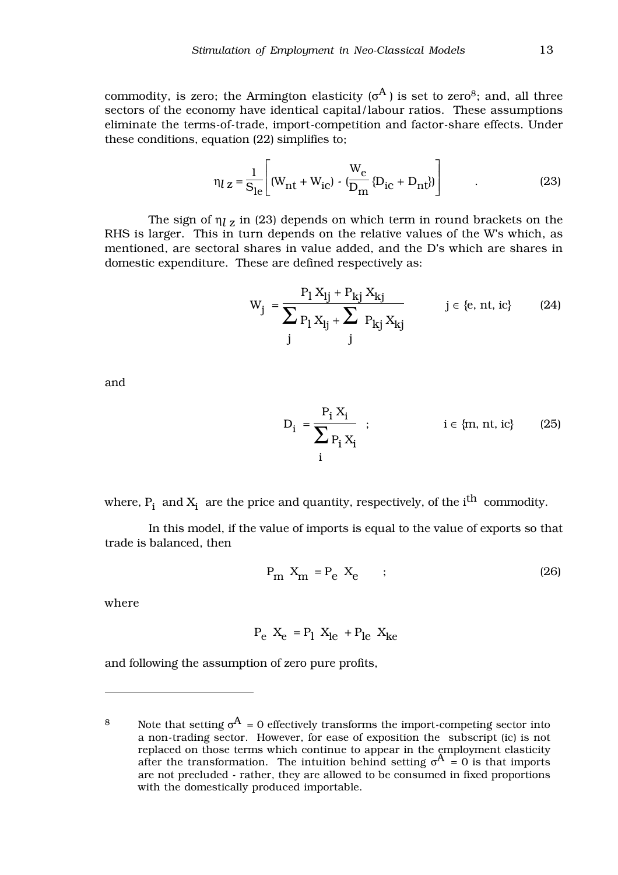commodity, is zero; the Armington elasticity  $(\sigma^A)$  is set to zero<sup>8</sup>; and, all three sectors of the economy have identical capital/labour ratios. These assumptions eliminate the terms-of-trade, import-competition and factor-share effects. Under these conditions, equation (22) simplifies to;

$$
\eta_l z = \frac{1}{S_{le}} \left[ (W_{nt} + W_{ic}) - (W_{en} - W_{nc} + D_{nt}) \right]
$$
 (23)

The sign of  $\eta_{l}$  *z* in (23) depends on which term in round brackets on the RHS is larger. This in turn depends on the relative values of the W's which, as mentioned, are sectoral shares in value added, and the D's which are shares in domestic expenditure. These are defined respectively as:

$$
W_{j} = \frac{P_{l} X_{lj} + P_{kj} X_{kj}}{\sum_{j} P_{l} X_{lj} + \sum_{j} P_{kj} X_{kj}} \qquad j \in \{e, nt, ic\}
$$
 (24)

and

$$
D_{i} = \frac{P_{i} X_{i}}{\sum_{i} P_{i} X_{i}} ; \qquad i \in \{m, nt, ic\}
$$
 (25)

where,  $P_i$  and  $X_i$  are the price and quantity, respectively, of the i $^{th}$  commodity.

In this model, if the value of imports is equal to the value of exports so that trade is balanced, then

$$
P_m X_m = P_e X_e \qquad ; \qquad (26)
$$

where

$$
P_e X_e = P_1 X_{le} + P_{le} X_{ke}
$$

and following the assumption of zero pure profits,

<sup>8</sup> Note that setting  $\sigma^{A} = 0$  effectively transforms the import-competing sector into a non-trading sector. However, for ease of exposition the subscript (ic) is not replaced on those terms which continue to appear in the employment elasticity after the transformation. The intuition behind setting  $\sigma^{A} = 0$  is that imports are not precluded - rather, they are allowed to be consumed in fixed proportions with the domestically produced importable.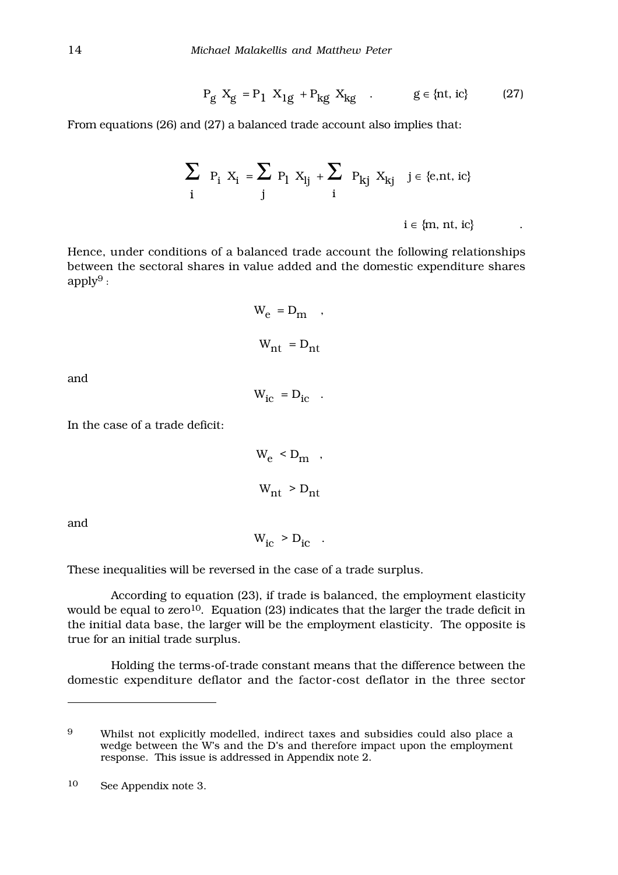$$
P_g X_g = P_1 X_{1g} + P_{kg} X_{kg}
$$
 .  $g \in \{nt, ic\}$  (27)

From equations (26) and (27) a balanced trade account also implies that:

$$
\sum_{i} P_i X_i = \sum_{j} P_l X_{lj} + \sum_{i} P_{kj} X_{kj} \quad j \in \{e, nt, ic\}
$$
  

$$
i \in \{m, nt, ic\}
$$

Hence, under conditions of a balanced trade account the following relationships between the sectoral shares in value added and the domestic expenditure shares  $apply<sup>9</sup>$ :

$$
W_e = D_m ,
$$
  

$$
W_{nt} = D_{nt}
$$

and

$$
W_{ic} = D_{ic} .
$$

In the case of a trade deficit:

$$
W_e < D_m \quad ,
$$
\n
$$
W_{nt} > D_{nt}
$$

and

$$
W_{ic} > D_{ic} .
$$

These inequalities will be reversed in the case of a trade surplus.

According to equation (23), if trade is balanced, the employment elasticity would be equal to zero<sup>10</sup>. Equation (23) indicates that the larger the trade deficit in the initial data base, the larger will be the employment elasticity. The opposite is true for an initial trade surplus.

Holding the terms-of-trade constant means that the difference between the domestic expenditure deflator and the factor-cost deflator in the three sector

<sup>9</sup> Whilst not explicitly modelled, indirect taxes and subsidies could also place a wedge between the W's and the D's and therefore impact upon the employment response. This issue is addressed in Appendix note 2.

<sup>10</sup> See Appendix note 3.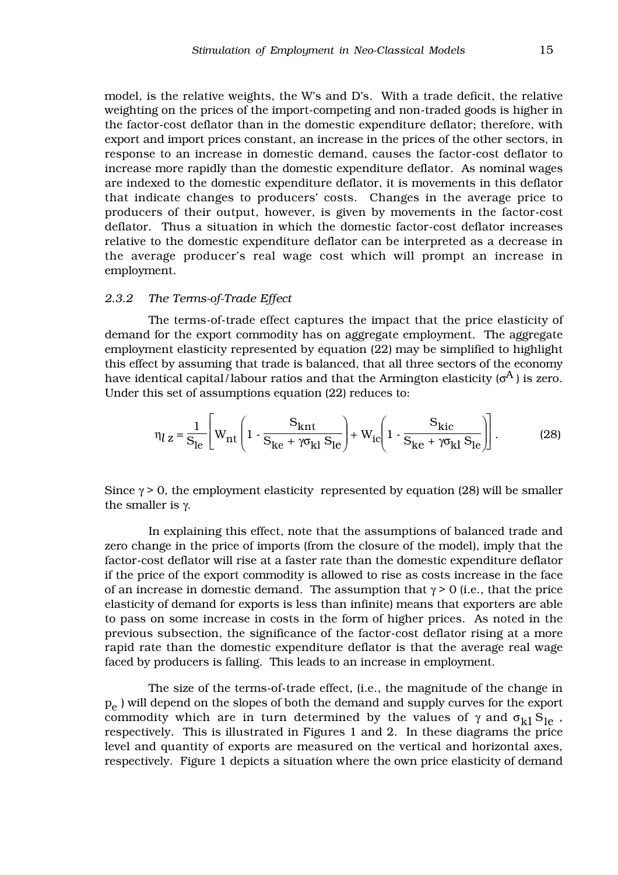model, is the relative weights, the W's and D's. With a trade deficit, the relative weighting on the prices of the import-competing and non-traded goods is higher in the factor-cost deflator than in the domestic expenditure deflator; therefore, with export and import prices constant, an increase in the prices of the other sectors, in response to an increase in domestic demand, causes the factor-cost deflator to increase more rapidly than the domestic expenditure deflator. As nominal wages are indexed to the domestic expenditure deflator, it is movements in this deflator that indicate changes to producers' costs. Changes in the average price to producers of their output, however, is given by movements in the factor-cost deflator. Thus a situation in which the domestic factor-cost deflator increases relative to the domestic expenditure deflator can be interpreted as a decrease in the average producer's real wage cost which will prompt an increase in employment.

#### *2.3.2 The Terms-of-Trade Effect*

The terms-of-trade effect captures the impact that the price elasticity of demand for the export commodity has on aggregate employment. The aggregate employment elasticity represented by equation (22) may be simplified to highlight this effect by assuming that trade is balanced, that all three sectors of the economy have identical capital/labour ratios and that the Armington elasticity ( $\sigma^A$ ) is zero. Under this set of assumptions equation (22) reduces to:

$$
\eta_{l} \mathbf{z} = \frac{1}{\mathbf{S}_{le}} \left[ \mathbf{W}_{nt} \left( 1 - \frac{\mathbf{S}_{knt}}{\mathbf{S}_{ke} + \gamma \sigma_{kl} \mathbf{S}_{le}} \right) + \mathbf{W}_{ic} \left( 1 - \frac{\mathbf{S}_{kic}}{\mathbf{S}_{ke} + \gamma \sigma_{kl} \mathbf{S}_{le}} \right) \right].
$$
 (28)

Since  $\gamma > 0$ , the employment elasticity represented by equation (28) will be smaller the smaller is  $γ$ .

In explaining this effect, note that the assumptions of balanced trade and zero change in the price of imports (from the closure of the model), imply that the factor-cost deflator will rise at a faster rate than the domestic expenditure deflator if the price of the export commodity is allowed to rise as costs increase in the face of an increase in domestic demand. The assumption that  $\gamma > 0$  (i.e., that the price elasticity of demand for exports is less than infinite) means that exporters are able to pass on some increase in costs in the form of higher prices. As noted in the previous subsection, the significance of the factor-cost deflator rising at a more rapid rate than the domestic expenditure deflator is that the average real wage faced by producers is falling. This leads to an increase in employment.

The size of the terms-of-trade effect, (i.e., the magnitude of the change in  $p_e$ ) will depend on the slopes of both the demand and supply curves for the export commodity which are in turn determined by the values of  $\gamma$  and  $\sigma_{kl} S_{\text{le}}$ , respectively. This is illustrated in Figures 1 and 2. In these diagrams the price level and quantity of exports are measured on the vertical and horizontal axes, respectively. Figure 1 depicts a situation where the own price elasticity of demand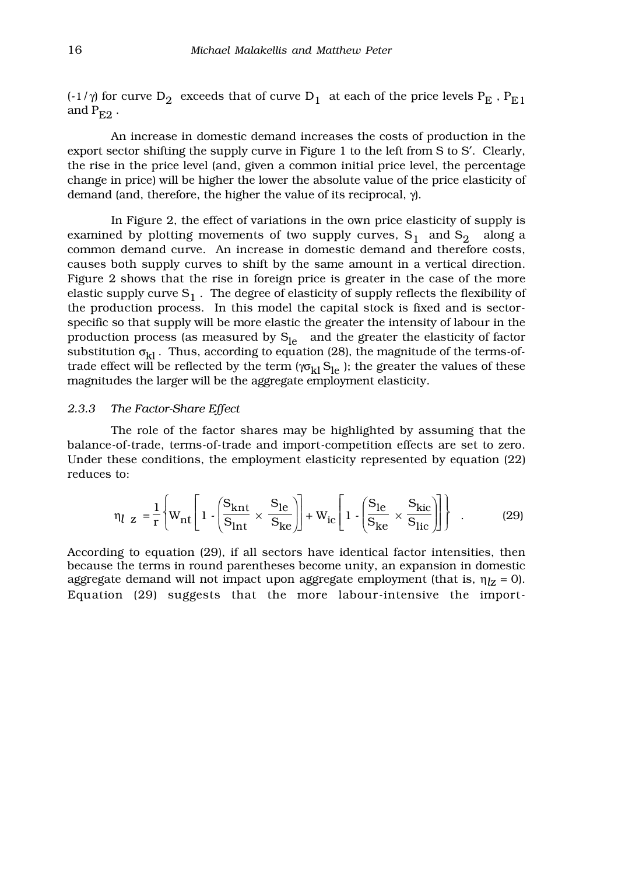(-1/ $\gamma$ ) for curve D<sub>2</sub> exceeds that of curve D<sub>1</sub> at each of the price levels P<sub>E</sub>, P<sub>E1</sub> and  $P_{E2}$ .

An increase in domestic demand increases the costs of production in the export sector shifting the supply curve in Figure 1 to the left from S to S′. Clearly, the rise in the price level (and, given a common initial price level, the percentage change in price) will be higher the lower the absolute value of the price elasticity of demand (and, therefore, the higher the value of its reciprocal, γ).

In Figure 2, the effect of variations in the own price elasticity of supply is examined by plotting movements of two supply curves,  $S_1$  and  $S_2$  along a common demand curve. An increase in domestic demand and therefore costs, causes both supply curves to shift by the same amount in a vertical direction. Figure 2 shows that the rise in foreign price is greater in the case of the more elastic supply curve  $S_1$  . The degree of elasticity of supply reflects the flexibility of the production process. In this model the capital stock is fixed and is sectorspecific so that supply will be more elastic the greater the intensity of labour in the production process (as measured by  $S_{le}$  and the greater the elasticity of factor substitution  $\sigma_{kl}$ . Thus, according to equation (28), the magnitude of the terms-oftrade effect will be reflected by the term ( $\gamma \sigma_{kl} S_{le}$ ); the greater the values of these magnitudes the larger will be the aggregate employment elasticity.

#### *2.3.3 The Factor-Share Effect*

The role of the factor shares may be highlighted by assuming that the balance-of-trade, terms-of-trade and import-competition effects are set to zero. Under these conditions, the employment elasticity represented by equation (22) reduces to:

$$
\eta_{l} \mathbf{z} = \frac{1}{r} \left\{ W_{\text{nt}} \left[ 1 \cdot \left( \frac{S_{\text{knt}}}{S_{\text{int}}} \times \frac{S_{\text{le}}}{S_{\text{ke}}} \right) \right] + W_{\text{ic}} \left[ 1 \cdot \left( \frac{S_{\text{le}}}{S_{\text{ke}}} \times \frac{S_{\text{kic}}}{S_{\text{lic}}} \right) \right] \right\} \quad . \tag{29}
$$

According to equation (29), if all sectors have identical factor intensities, then because the terms in round parentheses become unity, an expansion in domestic aggregate demand will not impact upon aggregate employment (that is, η*l*z = 0). Equation (29) suggests that the more labour-intensive the import-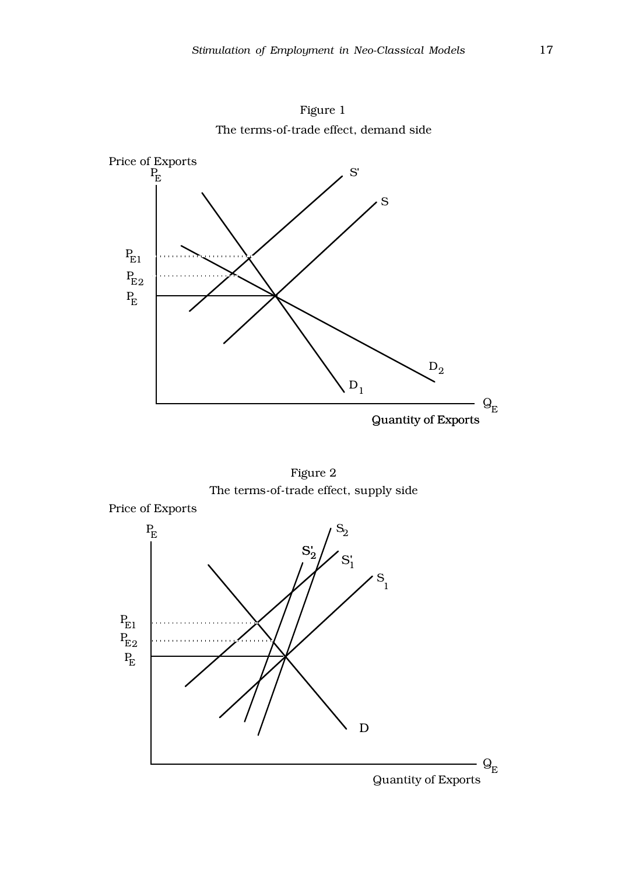

Figure 1 The terms-of-trade effect, demand side



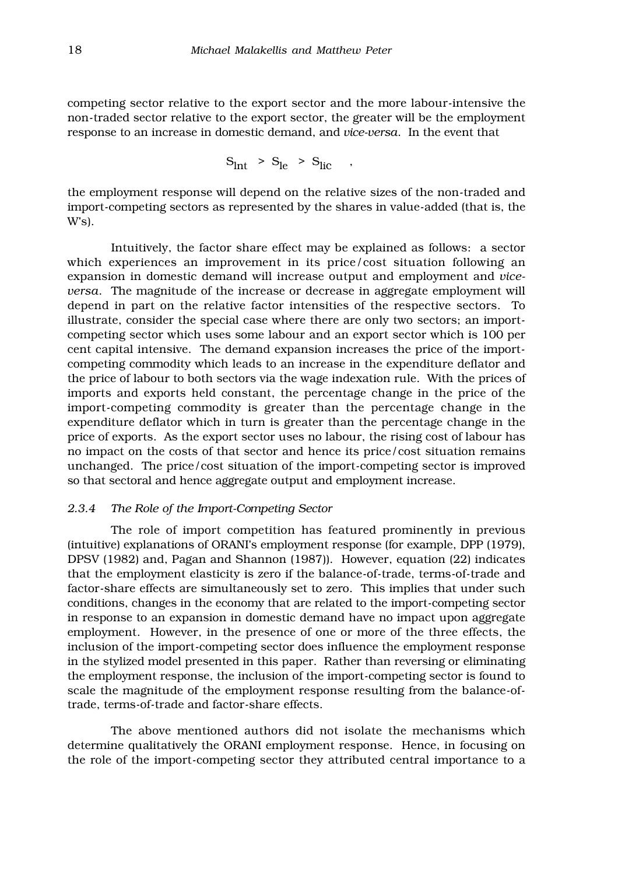competing sector relative to the export sector and the more labour-intensive the non-traded sector relative to the export sector, the greater will be the employment response to an increase in domestic demand, and *vice-versa*. In the event that

$$
S_{\text{Int}} > S_{\text{le}} > S_{\text{lic}} ,
$$

the employment response will depend on the relative sizes of the non-traded and import-competing sectors as represented by the shares in value-added (that is, the W's).

Intuitively, the factor share effect may be explained as follows: a sector which experiences an improvement in its price/cost situation following an expansion in domestic demand will increase output and employment and *viceversa*. The magnitude of the increase or decrease in aggregate employment will depend in part on the relative factor intensities of the respective sectors. To illustrate, consider the special case where there are only two sectors; an importcompeting sector which uses some labour and an export sector which is 100 per cent capital intensive. The demand expansion increases the price of the importcompeting commodity which leads to an increase in the expenditure deflator and the price of labour to both sectors via the wage indexation rule. With the prices of imports and exports held constant, the percentage change in the price of the import-competing commodity is greater than the percentage change in the expenditure deflator which in turn is greater than the percentage change in the price of exports. As the export sector uses no labour, the rising cost of labour has no impact on the costs of that sector and hence its price/cost situation remains unchanged. The price/cost situation of the import-competing sector is improved so that sectoral and hence aggregate output and employment increase.

#### *2.3.4 The Role of the Import-Competing Sector*

The role of import competition has featured prominently in previous (intuitive) explanations of ORANI's employment response (for example, DPP (1979), DPSV (1982) and, Pagan and Shannon (1987)). However, equation (22) indicates that the employment elasticity is zero if the balance-of-trade, terms-of-trade and factor-share effects are simultaneously set to zero. This implies that under such conditions, changes in the economy that are related to the import-competing sector in response to an expansion in domestic demand have no impact upon aggregate employment. However, in the presence of one or more of the three effects, the inclusion of the import-competing sector does influence the employment response in the stylized model presented in this paper. Rather than reversing or eliminating the employment response, the inclusion of the import-competing sector is found to scale the magnitude of the employment response resulting from the balance-oftrade, terms-of-trade and factor-share effects.

The above mentioned authors did not isolate the mechanisms which determine qualitatively the ORANI employment response. Hence, in focusing on the role of the import-competing sector they attributed central importance to a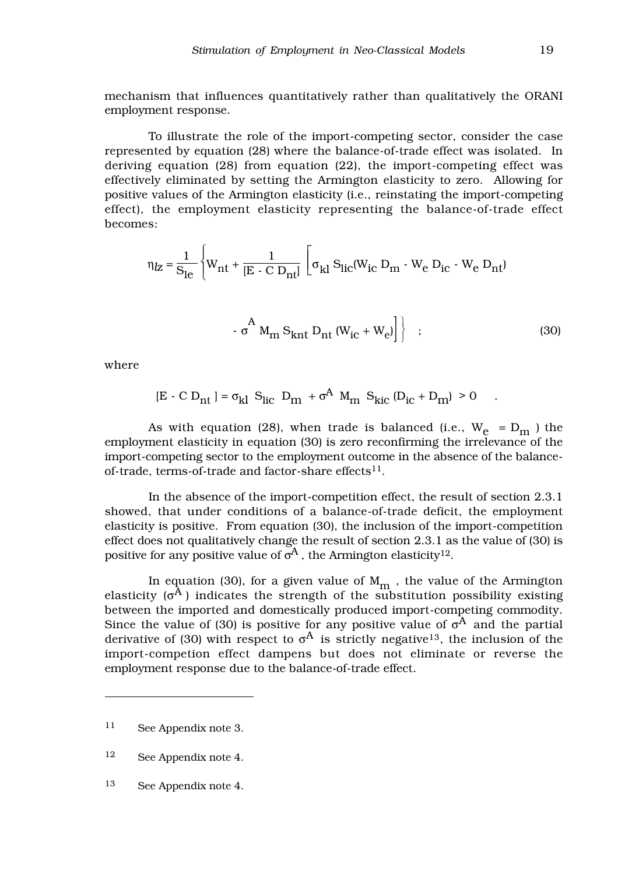mechanism that influences quantitatively rather than qualitatively the ORANI employment response.

To illustrate the role of the import-competing sector, consider the case represented by equation (28) where the balance-of-trade effect was isolated. In deriving equation (28) from equation (22), the import-competing effect was effectively eliminated by setting the Armington elasticity to zero. Allowing for positive values of the Armington elasticity (i.e., reinstating the import-competing effect), the employment elasticity representing the balance-of-trade effect becomes:

$$
\eta_{Z} = \frac{1}{S_{le}} \left\{ W_{nt} + \frac{1}{[E - C D_{nt}]} \left[ \sigma_{kl} S_{lic} (W_{ic} D_{m} - W_{e} D_{ic} - W_{e} D_{nt}) \right] \right\}
$$

$$
- \sigma^{A} M_{\rm m} S_{\rm knt} D_{\rm nt} (W_{\rm ic} + W_{\rm e}) \Big] \Big\} ; \qquad (30)
$$

where

 $[E - C D_{nt}] = \sigma_{kl} S_{lic} D_m + \sigma^A M_m S_{kic} (D_{ic} + D_m) > 0$ 

As with equation (28), when trade is balanced (i.e.,  $W_e = D_m$ ) the employment elasticity in equation (30) is zero reconfirming the irrelevance of the import-competing sector to the employment outcome in the absence of the balanceof-trade, terms-of-trade and factor-share effects $^{11}$ .

In the absence of the import-competition effect, the result of section 2.3.1 showed, that under conditions of a balance-of-trade deficit, the employment elasticity is positive. From equation (30), the inclusion of the import-competition effect does not qualitatively change the result of section 2.3.1 as the value of (30) is positive for any positive value of  $\sigma^A$ , the Armington elasticity<sup>12</sup>.

In equation (30), for a given value of  $M_m$ , the value of the Armington elasticity  $(\sigma^A)$  indicates the strength of the substitution possibility existing between the imported and domestically produced import-competing commodity. Since the value of (30) is positive for any positive value of  $\sigma^{A}$  and the partial derivative of (30) with respect to  $\sigma^{A}$  is strictly negative<sup>13</sup>, the inclusion of the import-competion effect dampens but does not eliminate or reverse the employment response due to the balance-of-trade effect.

<sup>11</sup> See Appendix note 3.

<sup>12</sup> See Appendix note 4.

<sup>13</sup> See Appendix note 4.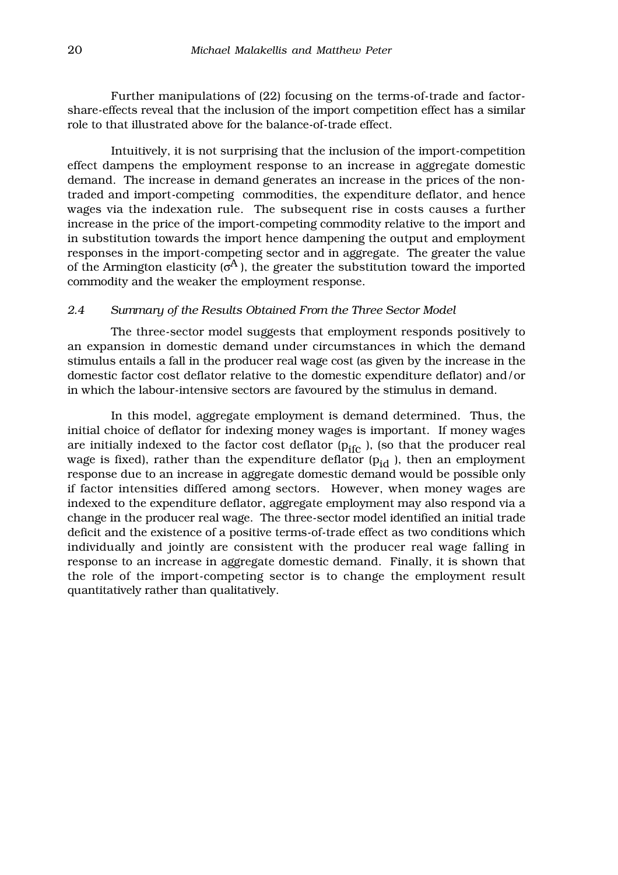Further manipulations of (22) focusing on the terms-of-trade and factorshare-effects reveal that the inclusion of the import competition effect has a similar role to that illustrated above for the balance-of-trade effect.

Intuitively, it is not surprising that the inclusion of the import-competition effect dampens the employment response to an increase in aggregate domestic demand. The increase in demand generates an increase in the prices of the nontraded and import-competing commodities, the expenditure deflator, and hence wages via the indexation rule. The subsequent rise in costs causes a further increase in the price of the import-competing commodity relative to the import and in substitution towards the import hence dampening the output and employment responses in the import-competing sector and in aggregate. The greater the value of the Armington elasticity ( $\sigma$ <sup>A</sup>), the greater the substitution toward the imported commodity and the weaker the employment response.

#### *2.4 Summary of the Results Obtained From the Three Sector Model*

The three-sector model suggests that employment responds positively to an expansion in domestic demand under circumstances in which the demand stimulus entails a fall in the producer real wage cost (as given by the increase in the domestic factor cost deflator relative to the domestic expenditure deflator) and/or in which the labour-intensive sectors are favoured by the stimulus in demand.

In this model, aggregate employment is demand determined. Thus, the initial choice of deflator for indexing money wages is important. If money wages are initially indexed to the factor cost deflator  $(p_{ifc})$ , (so that the producer real wage is fixed), rather than the expenditure deflator  $(p_{id})$ , then an employment response due to an increase in aggregate domestic demand would be possible only if factor intensities differed among sectors. However, when money wages are indexed to the expenditure deflator, aggregate employment may also respond via a change in the producer real wage. The three-sector model identified an initial trade deficit and the existence of a positive terms-of-trade effect as two conditions which individually and jointly are consistent with the producer real wage falling in response to an increase in aggregate domestic demand. Finally, it is shown that the role of the import-competing sector is to change the employment result quantitatively rather than qualitatively.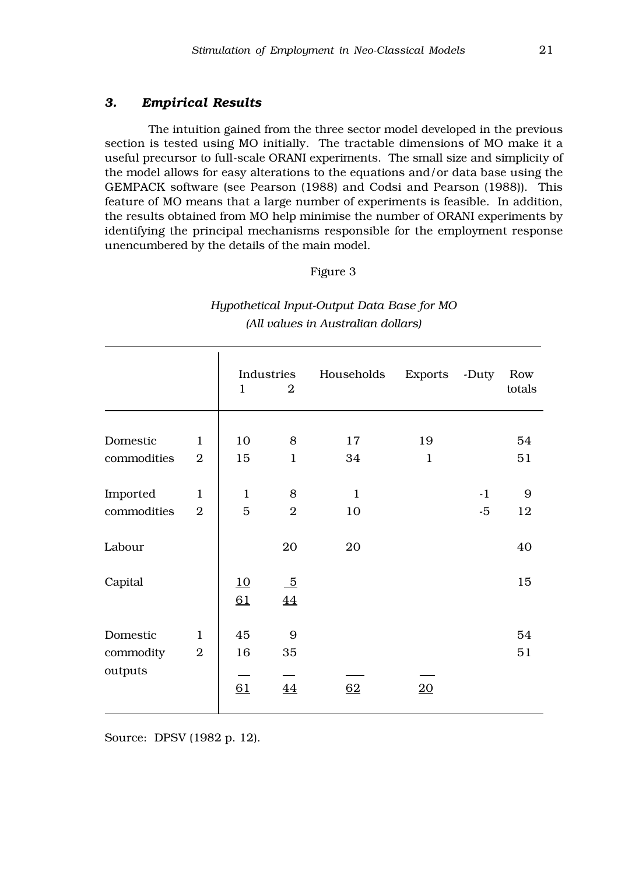#### *3. Empirical Results*

The intuition gained from the three sector model developed in the previous section is tested using MO initially. The tractable dimensions of MO make it a useful precursor to full-scale ORANI experiments. The small size and simplicity of the model allows for easy alterations to the equations and/or data base using the GEMPACK software (see Pearson (1988) and Codsi and Pearson (1988)). This feature of MO means that a large number of experiments is feasible. In addition, the results obtained from MO help minimise the number of ORANI experiments by identifying the principal mechanisms responsible for the employment response unencumbered by the details of the main model.

Figure 3

|             |                | $\mathbf{1}$ | Industries<br>$\overline{2}$ | Households   | Exports      | -Duty | Row<br>totals |
|-------------|----------------|--------------|------------------------------|--------------|--------------|-------|---------------|
|             |                |              |                              |              |              |       |               |
| Domestic    | $\mathbf{1}$   | 10           | 8                            | 17           | 19           |       | 54            |
| commodities | $\overline{2}$ | 15           | $\mathbf{1}$                 | 34           | $\mathbf{1}$ |       | 51            |
|             |                |              |                              |              |              |       |               |
| Imported    | $\mathbf{1}$   | $\mathbf{1}$ | 8                            | $\mathbf{1}$ |              | $-1$  | 9             |
| commodities | $\overline{2}$ | 5            | $\overline{2}$               | 10           |              | $-5$  | 12            |
| Labour      |                |              | 20                           | 20           |              |       | 40            |
|             |                |              |                              |              |              |       |               |
| Capital     |                | 10           | $\overline{5}$               |              |              |       | 15            |
|             |                | 61           | 44                           |              |              |       |               |
| Domestic    | $\mathbf{1}$   | 45           | $9$                          |              |              |       | 54            |
| commodity   | $\overline{2}$ | 16           | 35                           |              |              |       | 51            |
| outputs     |                |              |                              |              |              |       |               |
|             |                | 61           | 44                           | 62           | 20           |       |               |
|             |                |              |                              |              |              |       |               |

*Hypothetical Input-Output Data Base for MO (All values in Australian dollars)*

Source: DPSV (1982 p. 12).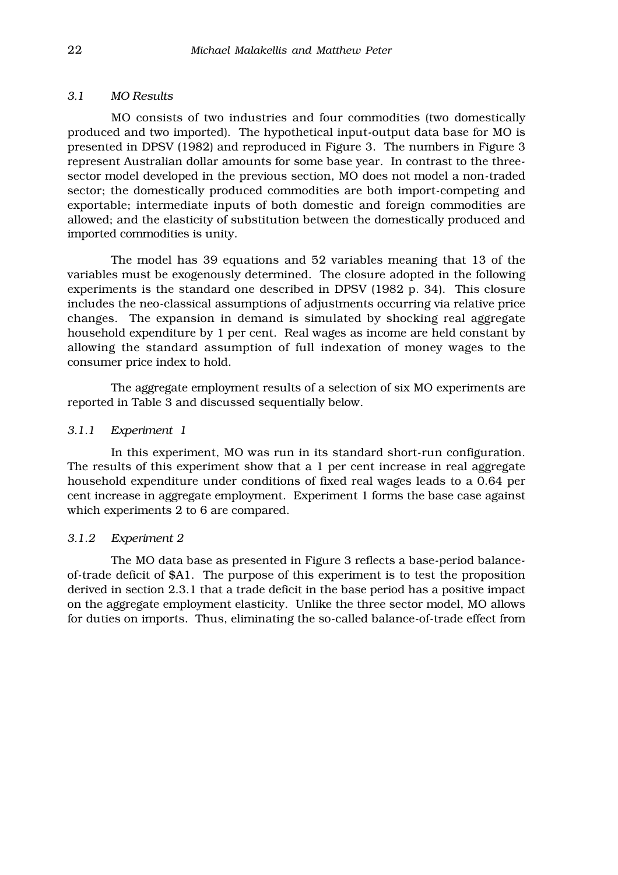#### *3.1 MO Results*

MO consists of two industries and four commodities (two domestically produced and two imported). The hypothetical input-output data base for MO is presented in DPSV (1982) and reproduced in Figure 3. The numbers in Figure 3 represent Australian dollar amounts for some base year. In contrast to the threesector model developed in the previous section, MO does not model a non-traded sector; the domestically produced commodities are both import-competing and exportable; intermediate inputs of both domestic and foreign commodities are allowed; and the elasticity of substitution between the domestically produced and imported commodities is unity.

The model has 39 equations and 52 variables meaning that 13 of the variables must be exogenously determined. The closure adopted in the following experiments is the standard one described in DPSV (1982 p. 34). This closure includes the neo-classical assumptions of adjustments occurring via relative price changes. The expansion in demand is simulated by shocking real aggregate household expenditure by 1 per cent. Real wages as income are held constant by allowing the standard assumption of full indexation of money wages to the consumer price index to hold.

The aggregate employment results of a selection of six MO experiments are reported in Table 3 and discussed sequentially below.

#### *3.1.1 Experiment 1*

 In this experiment, MO was run in its standard short-run configuration. The results of this experiment show that a 1 per cent increase in real aggregate household expenditure under conditions of fixed real wages leads to a 0.64 per cent increase in aggregate employment. Experiment 1 forms the base case against which experiments 2 to 6 are compared.

#### *3.1.2 Experiment 2*

The MO data base as presented in Figure 3 reflects a base-period balanceof-trade deficit of \$A1. The purpose of this experiment is to test the proposition derived in section 2.3.1 that a trade deficit in the base period has a positive impact on the aggregate employment elasticity. Unlike the three sector model, MO allows for duties on imports. Thus, eliminating the so-called balance-of-trade effect from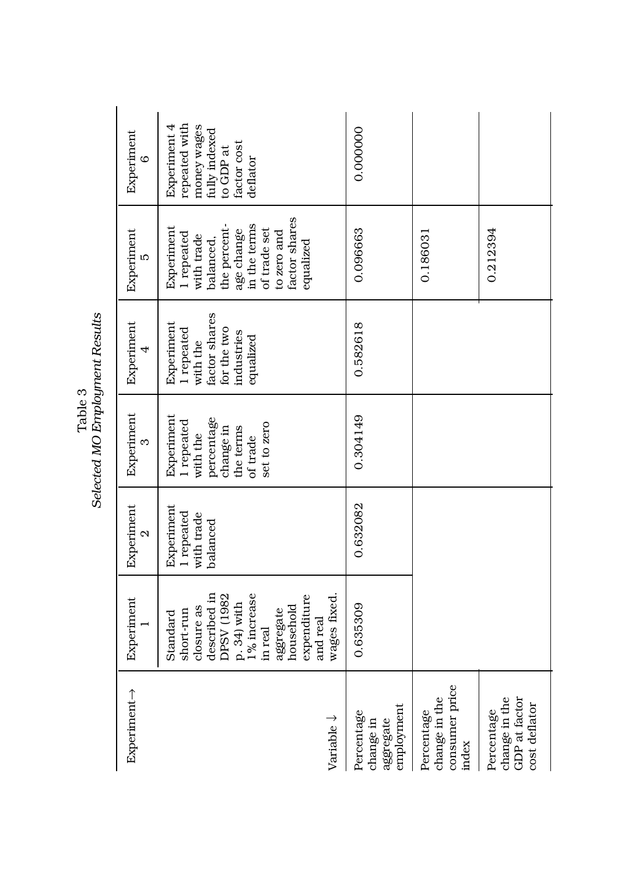| Experiment→                                                   | Experiment                                                                                                                                                                      | Experiment<br>$\mathcal{Q}$                        | Experiment<br>က                                                                                         | Experiment<br>4                                                                                 | Experiment<br>ĽΩ                                                                                                                                               | Experiment<br>$\circ$                                                                                 |
|---------------------------------------------------------------|---------------------------------------------------------------------------------------------------------------------------------------------------------------------------------|----------------------------------------------------|---------------------------------------------------------------------------------------------------------|-------------------------------------------------------------------------------------------------|----------------------------------------------------------------------------------------------------------------------------------------------------------------|-------------------------------------------------------------------------------------------------------|
| Variable $\downarrow$                                         | wages fixed.<br>described in<br>DPSV (1982<br>p. 34) with<br>1% increase<br>expenditure<br>closure as<br>household<br>aggregate<br>short-run<br>Standard<br>and real<br>in real | Experiment<br>1 repeated<br>with trade<br>palanced | Experiment<br>percentage<br>1 repeated<br>set to zero<br>change in<br>the terms<br>with the<br>of trade | factor shares<br>Experiment<br>1 repeated<br>for the two<br>industries<br>equalized<br>with the | factor shares<br>in the terms<br>the percent-<br>Experiment<br>of trade set<br>age change<br>1 repeated<br>to zero and<br>with trade<br>balanced,<br>equalized | repeated with<br>Experiment 4<br>money wages<br>fully indexed<br>factor cost<br>to GDP at<br>deflator |
| employment<br>Percentage<br>aggregate<br>change in            | 0.635309                                                                                                                                                                        | 0.632082                                           | 0.304149                                                                                                | 0.582618                                                                                        | 0.096663                                                                                                                                                       | 0.000000                                                                                              |
| consumer price<br>change in the<br>Percentage<br>index        |                                                                                                                                                                                 |                                                    |                                                                                                         |                                                                                                 | 0.186031                                                                                                                                                       |                                                                                                       |
| change in the<br>GDP at factor<br>cost deflator<br>Percentage |                                                                                                                                                                                 |                                                    |                                                                                                         |                                                                                                 | 0.212394                                                                                                                                                       |                                                                                                       |

Table 3<br>Selected MO Employment Results *Selected MO Employment Results*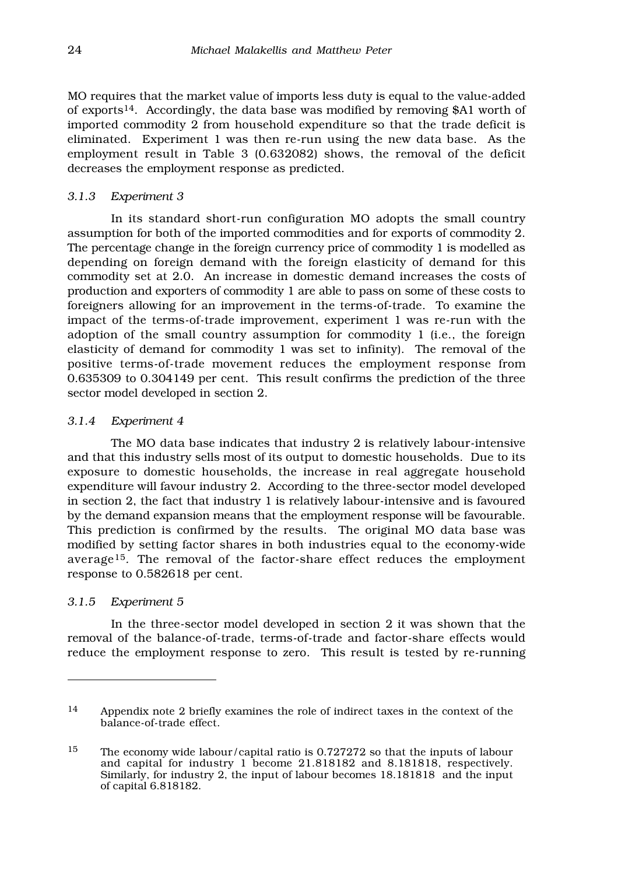MO requires that the market value of imports less duty is equal to the value-added of exports14. Accordingly, the data base was modified by removing \$A1 worth of imported commodity 2 from household expenditure so that the trade deficit is eliminated. Experiment 1 was then re-run using the new data base. As the employment result in Table 3 (0.632082) shows, the removal of the deficit decreases the employment response as predicted.

#### *3.1.3 Experiment 3*

In its standard short-run configuration MO adopts the small country assumption for both of the imported commodities and for exports of commodity 2. The percentage change in the foreign currency price of commodity 1 is modelled as depending on foreign demand with the foreign elasticity of demand for this commodity set at 2.0. An increase in domestic demand increases the costs of production and exporters of commodity 1 are able to pass on some of these costs to foreigners allowing for an improvement in the terms-of-trade. To examine the impact of the terms-of-trade improvement, experiment 1 was re-run with the adoption of the small country assumption for commodity 1 (i.e., the foreign elasticity of demand for commodity 1 was set to infinity). The removal of the positive terms-of-trade movement reduces the employment response from 0.635309 to 0.304149 per cent. This result confirms the prediction of the three sector model developed in section 2.

#### *3.1.4 Experiment 4*

The MO data base indicates that industry 2 is relatively labour-intensive and that this industry sells most of its output to domestic households. Due to its exposure to domestic households, the increase in real aggregate household expenditure will favour industry 2. According to the three-sector model developed in section 2, the fact that industry 1 is relatively labour-intensive and is favoured by the demand expansion means that the employment response will be favourable. This prediction is confirmed by the results. The original MO data base was modified by setting factor shares in both industries equal to the economy-wide average15*.* The removal of the factor-share effect reduces the employment response to 0.582618 per cent.

#### *3.1.5 Experiment 5*

In the three-sector model developed in section 2 it was shown that the removal of the balance-of-trade, terms-of-trade and factor-share effects would reduce the employment response to zero. This result is tested by re-running

<sup>14</sup> Appendix note 2 briefly examines the role of indirect taxes in the context of the balance-of-trade effect.

<sup>15</sup> The economy wide labour/capital ratio is 0.727272 so that the inputs of labour and capital for industry 1 become 21.818182 and 8.181818, respectively. Similarly, for industry 2, the input of labour becomes 18.181818 and the input of capital 6.818182.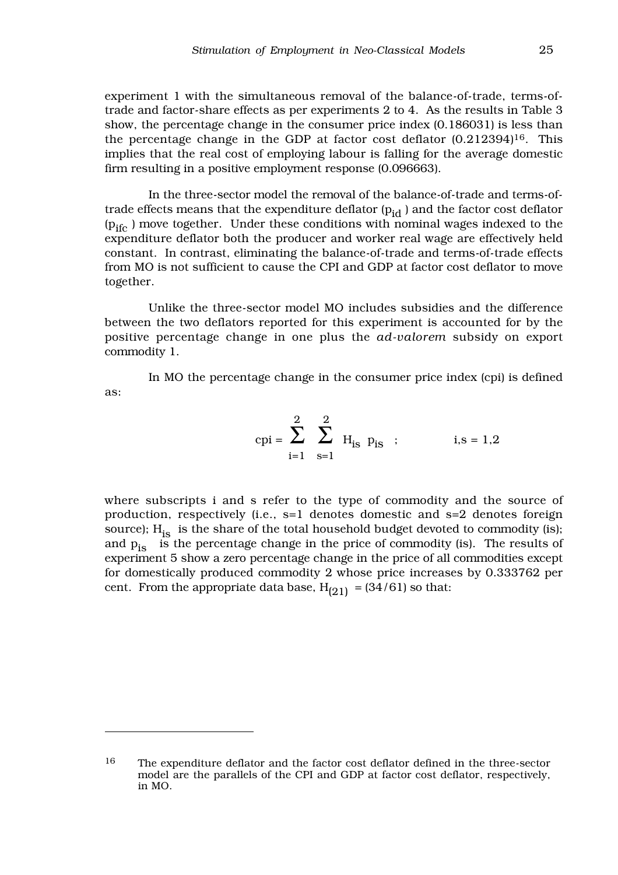experiment 1 with the simultaneous removal of the balance-of-trade, terms-oftrade and factor-share effects as per experiments 2 to 4. As the results in Table 3 show, the percentage change in the consumer price index (0.186031) is less than the percentage change in the GDP at factor cost deflator  $(0.212394)^{16}$ . This implies that the real cost of employing labour is falling for the average domestic firm resulting in a positive employment response (0.096663).

In the three-sector model the removal of the balance-of-trade and terms-oftrade effects means that the expenditure deflator  $(p_{id})$  and the factor cost deflator  $(p_{ifc})$  move together. Under these conditions with nominal wages indexed to the expenditure deflator both the producer and worker real wage are effectively held constant. In contrast, eliminating the balance-of-trade and terms-of-trade effects from MO is not sufficient to cause the CPI and GDP at factor cost deflator to move together.

Unlike the three-sector model MO includes subsidies and the difference between the two deflators reported for this experiment is accounted for by the positive percentage change in one plus the *ad-valorem* subsidy on export commodity 1.

In MO the percentage change in the consumer price index (cpi) is defined as:

$$
cpi = \sum_{i=1}^{2} \sum_{s=1}^{2} H_{is} p_{is}
$$
;   
i,s = 1,2

where subscripts i and s refer to the type of commodity and the source of production, respectively (i.e., s=1 denotes domestic and s=2 denotes foreign source);  $H_{is}$  is the share of the total household budget devoted to commodity (is); and  $p_{is}$  is the percentage change in the price of commodity (is). The results of experiment 5 show a zero percentage change in the price of all commodities except for domestically produced commodity 2 whose price increases by 0.333762 per cent. From the appropriate data base,  $H_{(21)} = (34/61)$  so that:

<sup>16</sup> The expenditure deflator and the factor cost deflator defined in the three-sector model are the parallels of the CPI and GDP at factor cost deflator, respectively, in MO.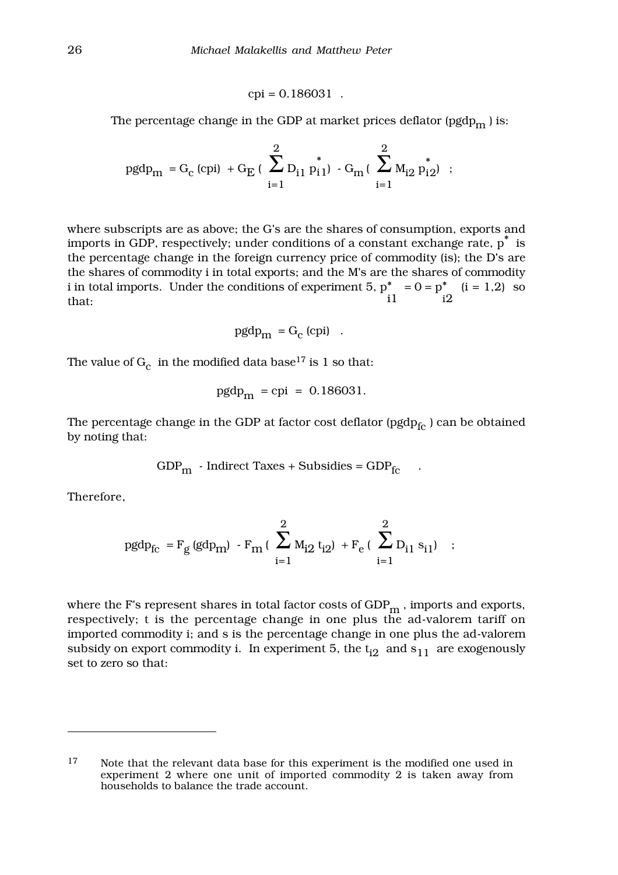$$
cpi = 0.186031
$$
.

The percentage change in the GDP at market prices deflator (pgdp $_{\rm m}$ ) is:

$$
pgdp_m = G_c \text{ (cpi)} + G_E \left( \sum_{i=1}^{2} D_{i1} p_{i1}^{*} \right) - G_m \left( \sum_{i=1}^{2} M_{i2} p_{i2}^{*} \right) ;
$$

where subscripts are as above; the G's are the shares of consumption, exports and imports in GDP, respectively; under conditions of a constant exchange rate,  $p^*$  is the percentage change in the foreign currency price of commodity (is); the D's are the shares of commodity i in total exports; and the M's are the shares of commodity i in total imports. Under the conditions of experiment  $5, p^*$ i1  $= 0 = p^*$ i2  $(i = 1,2)$  so that:

$$
pgdp_m = G_c \text{ (cpi)}
$$

The value of  $\rm G_c\;$  in the modified data base  $^{17}$  is 1 so that:

$$
pgdp_m = cpi = 0.186031.
$$

The percentage change in the GDP at factor cost deflator ( $pgdp_{fc}$ ) can be obtained by noting that:

$$
GDPm - Indirect Taxes + Subsidies = GDPfc .
$$

Therefore,

$$
pgdp_{fc} = F_g (gdp_m) - F_m \left( \sum_{i=1}^{2} M_{i2} t_{i2} \right) + F_e \left( \sum_{i=1}^{2} D_{i1} s_{i1} \right) ;
$$

where the F's represent shares in total factor costs of  $GDP_m$ , imports and exports, respectively; t is the percentage change in one plus the ad-valorem tariff on imported commodity i; and s is the percentage change in one plus the ad-valorem subsidy on export commodity i. In experiment 5, the  $t_{i2}$  and  $s_{11}$  are exogenously set to zero so that:

<sup>17</sup> Note that the relevant data base for this experiment is the modified one used in experiment 2 where one unit of imported commodity 2 is taken away from households to balance the trade account.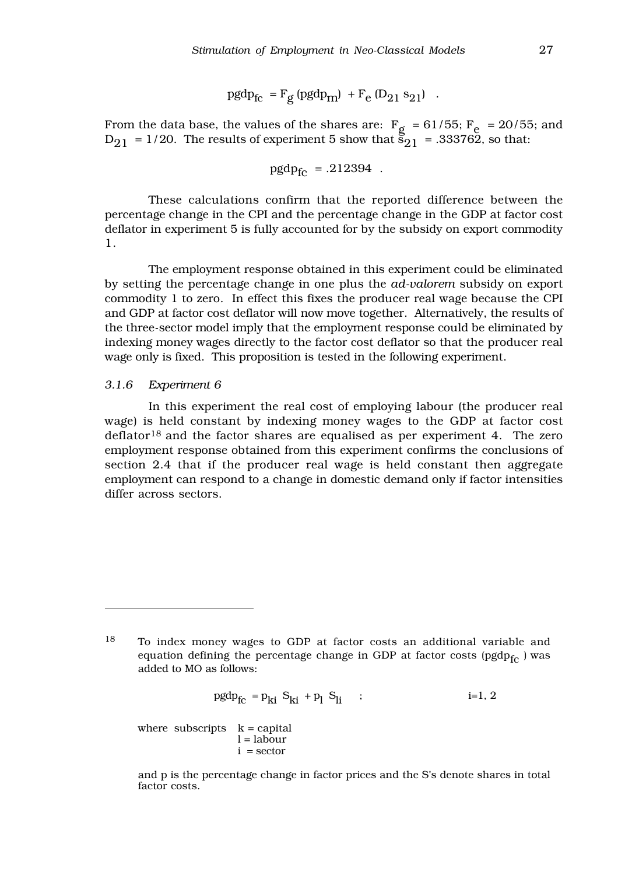$$
\mathrm{pgdp_{fc}} = \mathrm{F_g} \left( \mathrm{pgdp_m} \right) \ + \mathrm{F_e} \left( \mathrm{D_{21}} \ \mathrm{s_{21}} \right) \ \ .
$$

From the data base, the values of the shares are:  $F_g = 61/55$ ;  $F_e = 20/55$ ; and  $D_{21} = 1/20$ . The results of experiment 5 show that  $S_{21} = .333762$ , so that:

$$
\text{pgdp}_{\text{fc}} = .212394\enspace.
$$

These calculations confirm that the reported difference between the percentage change in the CPI and the percentage change in the GDP at factor cost deflator in experiment 5 is fully accounted for by the subsidy on export commodity 1.

The employment response obtained in this experiment could be eliminated by setting the percentage change in one plus the *ad-valorem* subsidy on export commodity 1 to zero. In effect this fixes the producer real wage because the CPI and GDP at factor cost deflator will now move together. Alternatively, the results of the three-sector model imply that the employment response could be eliminated by indexing money wages directly to the factor cost deflator so that the producer real wage only is fixed. This proposition is tested in the following experiment.

#### *3.1.6 Experiment 6*

In this experiment the real cost of employing labour (the producer real wage) is held constant by indexing money wages to the GDP at factor cost  $\text{deflator}^{18}$  and the factor shares are equalised as per experiment 4. The zero employment response obtained from this experiment confirms the conclusions of section 2.4 that if the producer real wage is held constant then aggregate employment can respond to a change in domestic demand only if factor intensities differ across sectors.

$$
pgdp_{fc} = p_{ki} S_{ki} + p_l S_{li} \qquad ; \qquad \qquad i=1,\, 2
$$

where subscripts  $k =$  capital  $l =$ labour  $i =$  sector

and p is the percentage change in factor prices and the S's denote shares in total factor costs.

<sup>18</sup> To index money wages to GDP at factor costs an additional variable and equation defining the percentage change in GDP at factor costs ( $pgdp_{fc}$  ) was added to MO as follows: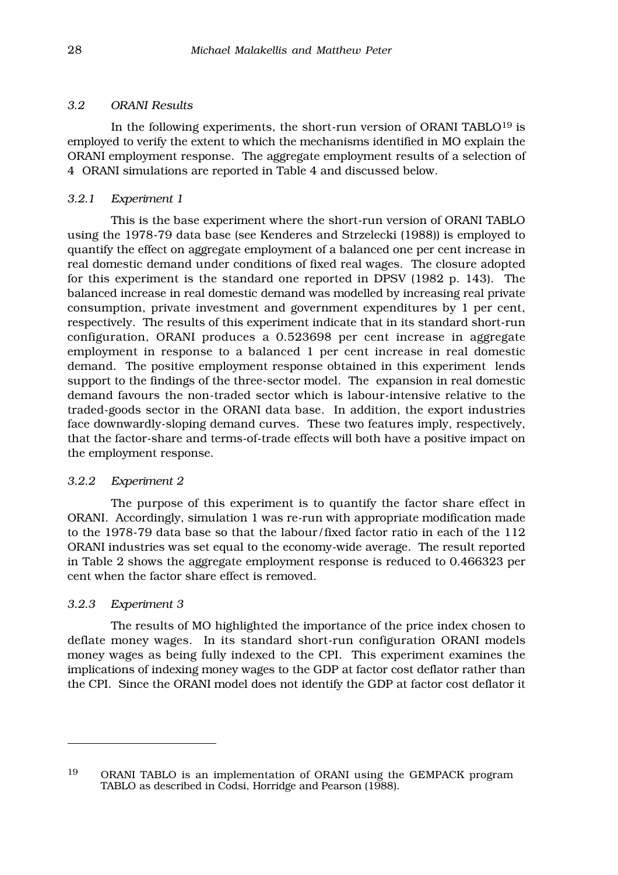#### *3.2 ORANI Results*

In the following experiments, the short-run version of ORANI TABLO $^{19}$  is employed to verify the extent to which the mechanisms identified in MO explain the ORANI employment response. The aggregate employment results of a selection of 4ORANI simulations are reported in Table 4 and discussed below.

#### *3.2.1 Experiment 1*

This is the base experiment where the short-run version of ORANI TABLO using the 1978-79 data base (see Kenderes and Strzelecki (1988)) is employed to quantify the effect on aggregate employment of a balanced one per cent increase in real domestic demand under conditions of fixed real wages. The closure adopted for this experiment is the standard one reported in DPSV (1982 p. 143). The balanced increase in real domestic demand was modelled by increasing real private consumption, private investment and government expenditures by 1 per cent, respectively. The results of this experiment indicate that in its standard short-run configuration, ORANI produces a 0.523698 per cent increase in aggregate employment in response to a balanced 1 per cent increase in real domestic demand. The positive employment response obtained in this experiment lends support to the findings of the three-sector model. The expansion in real domestic demand favours the non-traded sector which is labour-intensive relative to the traded-goods sector in the ORANI data base. In addition, the export industries face downwardly-sloping demand curves. These two features imply, respectively, that the factor-share and terms-of-trade effects will both have a positive impact on the employment response.

#### *3.2.2 Experiment 2*

The purpose of this experiment is to quantify the factor share effect in ORANI. Accordingly, simulation 1 was re-run with appropriate modification made to the 1978-79 data base so that the labour/fixed factor ratio in each of the 112 ORANI industries was set equal to the economy-wide average. The result reported in Table 2 shows the aggregate employment response is reduced to 0.466323 per cent when the factor share effect is removed.

#### *3.2.3 Experiment 3*

The results of MO highlighted the importance of the price index chosen to deflate money wages. In its standard short-run configuration ORANI models money wages as being fully indexed to the CPI. This experiment examines the implications of indexing money wages to the GDP at factor cost deflator rather than the CPI. Since the ORANI model does not identify the GDP at factor cost deflator it

<sup>19</sup> ORANI TABLO is an implementation of ORANI using the GEMPACK program TABLO as described in Codsi, Horridge and Pearson (1988).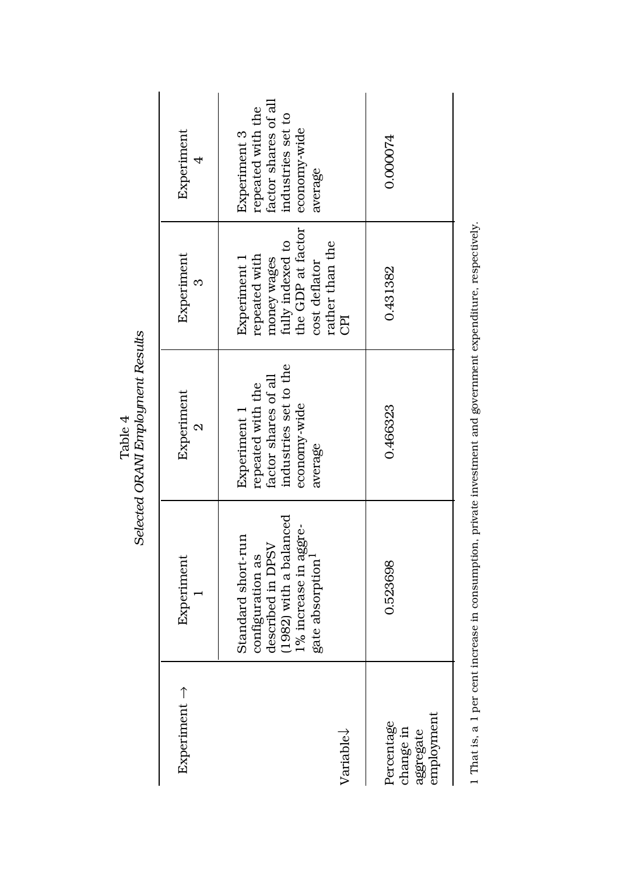| $Experiment \rightarrow$ | Standard short-run<br>Experiment                                                                                         | Experiment<br>Experiment 1<br>$\mathbf{\Omega}$                                               | Experiment<br>Experiment 1<br>$\infty$                                                                           | Experiment<br>Experiment 3<br>$\overline{\mathcal{A}}$                                    |
|--------------------------|--------------------------------------------------------------------------------------------------------------------------|-----------------------------------------------------------------------------------------------|------------------------------------------------------------------------------------------------------------------|-------------------------------------------------------------------------------------------|
|                          | (1982) with a balanced<br>1% increase in aggre-<br>described in DPSV<br>configuration as<br>gate absorption <sup>1</sup> | industries set to the<br>factor shares of all<br>repeated with the<br>economy-wide<br>average | the GDP at factor<br>rather than the<br>fully indexed to<br>repeated with<br>money wages<br>cost deflator<br>CPI | factor shares of all<br>repeated with the<br>industries set to<br>economy-wide<br>average |
| employment<br>Percentage | 0.523698                                                                                                                 | 0.466323                                                                                      | 0.431382                                                                                                         | 0.000074                                                                                  |

Table 4<br>Selected ORAM Employment Results *Selected ORANI Employment Results*

1 That is, a 1 per cent increase in consumption, private investment and government expenditure, respectively. 1 That is, a 1 per cent increase in consumption, private investment and government expenditure, respectively.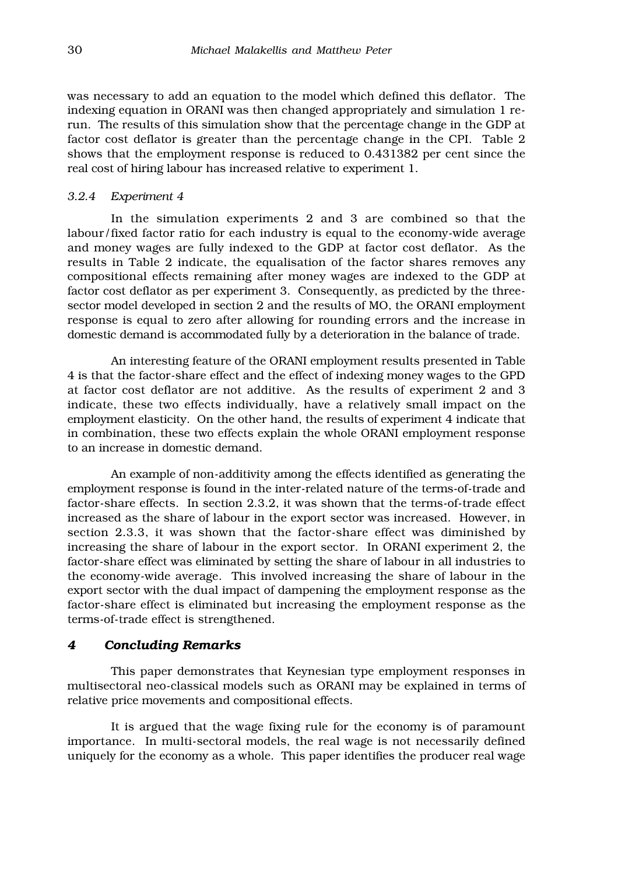was necessary to add an equation to the model which defined this deflator. The indexing equation in ORANI was then changed appropriately and simulation 1 rerun. The results of this simulation show that the percentage change in the GDP at factor cost deflator is greater than the percentage change in the CPI. Table 2 shows that the employment response is reduced to 0.431382 per cent since the real cost of hiring labour has increased relative to experiment 1.

#### *3.2.4 Experiment 4*

In the simulation experiments 2 and 3 are combined so that the labour/fixed factor ratio for each industry is equal to the economy-wide average and money wages are fully indexed to the GDP at factor cost deflator. As the results in Table 2 indicate, the equalisation of the factor shares removes any compositional effects remaining after money wages are indexed to the GDP at factor cost deflator as per experiment 3. Consequently, as predicted by the threesector model developed in section 2 and the results of MO, the ORANI employment response is equal to zero after allowing for rounding errors and the increase in domestic demand is accommodated fully by a deterioration in the balance of trade.

An interesting feature of the ORANI employment results presented in Table 4 is that the factor-share effect and the effect of indexing money wages to the GPD at factor cost deflator are not additive. As the results of experiment 2 and 3 indicate, these two effects individually, have a relatively small impact on the employment elasticity. On the other hand, the results of experiment 4 indicate that in combination, these two effects explain the whole ORANI employment response to an increase in domestic demand.

An example of non-additivity among the effects identified as generating the employment response is found in the inter-related nature of the terms-of-trade and factor-share effects. In section 2.3.2, it was shown that the terms-of-trade effect increased as the share of labour in the export sector was increased. However, in section 2.3.3, it was shown that the factor-share effect was diminished by increasing the share of labour in the export sector. In ORANI experiment 2, the factor-share effect was eliminated by setting the share of labour in all industries to the economy-wide average. This involved increasing the share of labour in the export sector with the dual impact of dampening the employment response as the factor-share effect is eliminated but increasing the employment response as the terms-of-trade effect is strengthened.

#### *4 Concluding Remarks*

This paper demonstrates that Keynesian type employment responses in multisectoral neo-classical models such as ORANI may be explained in terms of relative price movements and compositional effects.

It is argued that the wage fixing rule for the economy is of paramount importance. In multi-sectoral models, the real wage is not necessarily defined uniquely for the economy as a whole. This paper identifies the producer real wage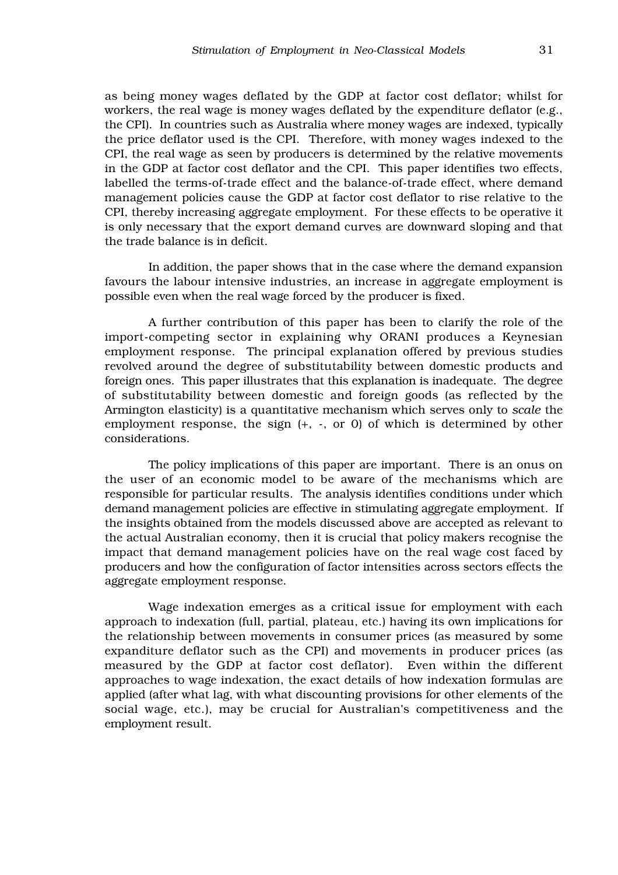as being money wages deflated by the GDP at factor cost deflator; whilst for workers, the real wage is money wages deflated by the expenditure deflator (e.g., the CPI). In countries such as Australia where money wages are indexed, typically the price deflator used is the CPI. Therefore, with money wages indexed to the CPI, the real wage as seen by producers is determined by the relative movements in the GDP at factor cost deflator and the CPI. This paper identifies two effects, labelled the terms-of-trade effect and the balance-of-trade effect, where demand management policies cause the GDP at factor cost deflator to rise relative to the CPI, thereby increasing aggregate employment. For these effects to be operative it is only necessary that the export demand curves are downward sloping and that the trade balance is in deficit.

In addition, the paper shows that in the case where the demand expansion favours the labour intensive industries, an increase in aggregate employment is possible even when the real wage forced by the producer is fixed.

A further contribution of this paper has been to clarify the role of the import-competing sector in explaining why ORANI produces a Keynesian employment response. The principal explanation offered by previous studies revolved around the degree of substitutability between domestic products and foreign ones. This paper illustrates that this explanation is inadequate. The degree of substitutability between domestic and foreign goods (as reflected by the Armington elasticity) is a quantitative mechanism which serves only to *scale* the employment response, the sign (+, -, or 0) of which is determined by other considerations.

The policy implications of this paper are important. There is an onus on the user of an economic model to be aware of the mechanisms which are responsible for particular results. The analysis identifies conditions under which demand management policies are effective in stimulating aggregate employment. If the insights obtained from the models discussed above are accepted as relevant to the actual Australian economy, then it is crucial that policy makers recognise the impact that demand management policies have on the real wage cost faced by producers and how the configuration of factor intensities across sectors effects the aggregate employment response.

Wage indexation emerges as a critical issue for employment with each approach to indexation (full, partial, plateau, etc.) having its own implications for the relationship between movements in consumer prices (as measured by some expanditure deflator such as the CPI) and movements in producer prices (as measured by the GDP at factor cost deflator). Even within the different approaches to wage indexation, the exact details of how indexation formulas are applied (after what lag, with what discounting provisions for other elements of the social wage, etc.), may be crucial for Australian's competitiveness and the employment result.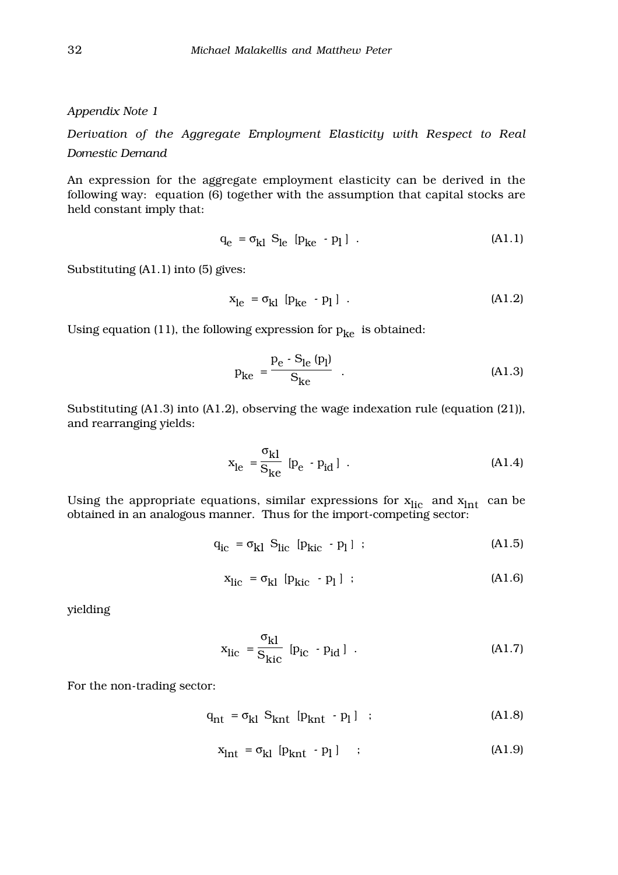*Appendix Note 1*

*Derivation of the Aggregate Employment Elasticity with Respect to Real Domestic Demand*

An expression for the aggregate employment elasticity can be derived in the following way: equation (6) together with the assumption that capital stocks are held constant imply that:

$$
q_e = \sigma_{kl} S_{le} [p_{ke} - p_l] . \qquad (A1.1)
$$

Substituting (A1.1) into (5) gives:

$$
x_{\text{le}} = \sigma_{\text{kl}} \left[ p_{\text{ke}} - p_{\text{l}} \right] \tag{A1.2}
$$

Using equation (11), the following expression for  $p_{ke}$  is obtained:

$$
p_{ke} = \frac{p_e - S_{le} (p_l)}{S_{ke}} .
$$
 (A1.3)

Substituting (A1.3) into (A1.2), observing the wage indexation rule (equation (21)), and rearranging yields:

$$
x_{le} = \frac{\sigma_{kl}}{S_{ke}} [p_e - p_{id}] .
$$
 (A1.4)

Using the appropriate equations, similar expressions for  $x_{\text{lic}}$  and  $x_{\text{Int}}$  can be obtained in an analogous manner. Thus for the import-competing sector:

$$
q_{ic} = \sigma_{kl} S_{lic} [p_{kic} - p_l] ; \qquad (A1.5)
$$

$$
x_{\text{lic}} = \sigma_{kl} [p_{\text{kic}} - p_l] ; \qquad (A1.6)
$$

yielding

$$
x_{\text{lic}} = \frac{\sigma_{kl}}{S_{\text{kic}}} \left[ p_{\text{ic}} - p_{\text{id}} \right] . \tag{A1.7}
$$

For the non-trading sector:

$$
\mathbf{q}_{\rm nt} = \sigma_{\rm kl} \ \mathbf{S}_{\rm knt} \ [\mathbf{p}_{\rm knt} \ \cdot \mathbf{p}_l] \ ; \tag{A1.8}
$$

$$
x_{\text{int}} = \sigma_{kl} [p_{\text{knt}} - p_l] \quad ; \tag{A1.9}
$$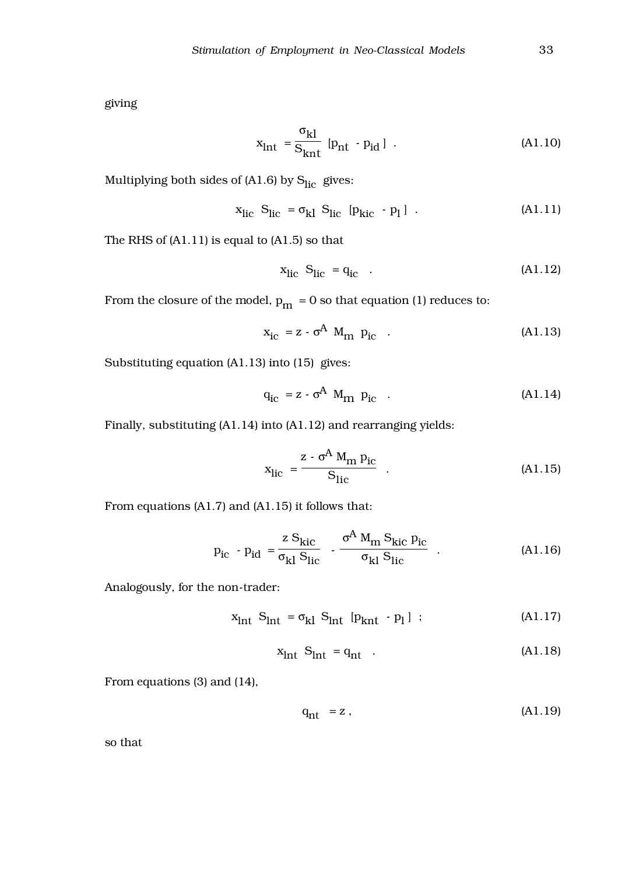giving

$$
x_{\text{int}} = \frac{\sigma_{kl}}{S_{\text{knt}}} [p_{\text{nt}} - p_{\text{id}}] . \tag{A1.10}
$$

Multiplying both sides of  $(A1.6)$  by  $S<sub>lic</sub>$  gives:

$$
x_{\text{lic}} S_{\text{lic}} = \sigma_{kl} S_{\text{lic}} [p_{\text{kic}} - p_1] . \tag{A1.11}
$$

The RHS of (A1.11) is equal to (A1.5) so that

$$
x_{\text{lic}} S_{\text{lic}} = q_{\text{ic}} \quad . \tag{A1.12}
$$

From the closure of the model,  $p_m = 0$  so that equation (1) reduces to:

$$
x_{ic} = z - \sigma^A M_m p_{ic} \quad . \tag{A1.13}
$$

Substituting equation (A1.13) into (15) gives:

$$
q_{ic} = z - \sigma^A M_{m} p_{ic} \quad . \tag{A1.14}
$$

Finally, substituting (A1.14) into (A1.12) and rearranging yields:

$$
x_{\rm lic} = \frac{z - \sigma^A M_{\rm m} p_{\rm ic}}{S_{\rm lic}} \quad . \tag{A1.15}
$$

From equations (A1.7) and (A1.15) it follows that:

$$
p_{ic} - p_{id} = \frac{z S_{kic}}{\sigma_{kl} S_{lic}} - \frac{\sigma^A M_m S_{kic} p_{ic}}{\sigma_{kl} S_{lic}} .
$$
 (A1.16)

Analogously, for the non-trader:

$$
x_{\text{Int}} S_{\text{Int}} = \sigma_{kl} S_{\text{Int}} [p_{\text{knt}} - p_1] ; \qquad (A1.17)
$$

$$
x_{\text{int}} S_{\text{int}} = q_{\text{nt}} \tag{A1.18}
$$

From equations (3) and (14),

$$
q_{nt} = z, \t\t (A1.19)
$$

so that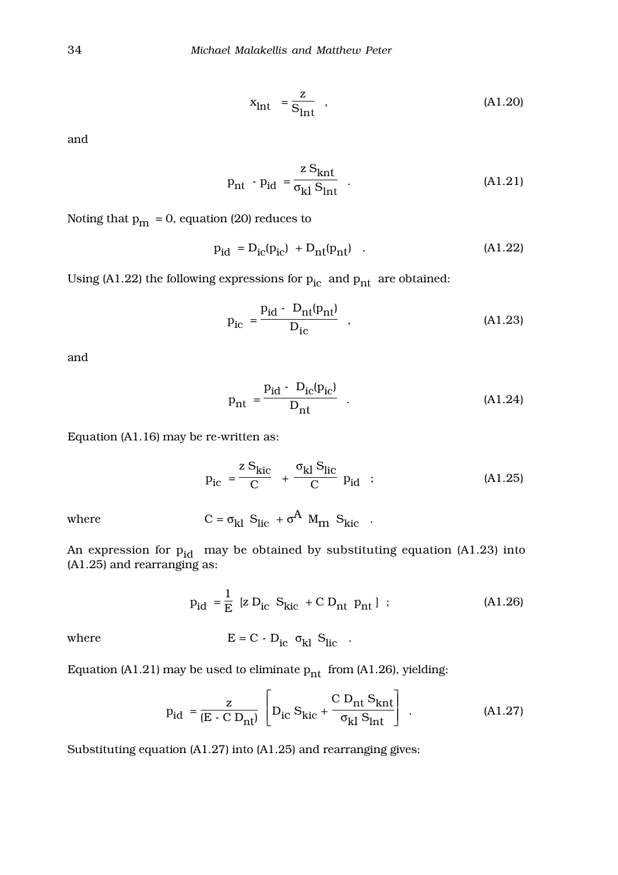$$
x_{\text{Int}} = \frac{z}{S_{\text{Int}}}, \qquad (A1.20)
$$

and

$$
p_{nt} - p_{id} = \frac{z S_{knt}}{\sigma_{kl} S_{lnt}} \quad . \tag{A1.21}
$$

Noting that  $p_m = 0$ , equation (20) reduces to

$$
p_{id} = D_{ic}(p_{ic}) + D_{nt}(p_{nt}) \quad . \tag{A1.22}
$$

Using (A1.22) the following expressions for  $p_{ic}$  and  $p_{nt}$  are obtained:

$$
p_{ic} = \frac{p_{id} - D_{nt}(p_{nt})}{D_{ic}} , \qquad (A1.23)
$$

and

$$
p_{nt} = \frac{p_{id} - D_{ic}(p_{ic})}{D_{nt}} .
$$
 (A1.24)

Equation (A1.16) may be re-written as:

$$
p_{ic} = \frac{z S_{kic}}{C} + \frac{\sigma_{kl} S_{lic}}{C} p_{id} ; \qquad (A1.25)
$$

where 
$$
C = \sigma_{kl} S_{lic} + \sigma^A M_m S_{kic}
$$
.

An expression for  $p_{id}$  may be obtained by substituting equation (A1.23) into (A1.25) and rearranging as:

$$
p_{id} = \frac{1}{E} [Z D_{ic} S_{kic} + C D_{nt} p_{nt} ]
$$
; (A1.26)

where 
$$
E = C - D_{ic} \sigma_{kl} S_{lic}
$$
.

Equation (A1.21) may be used to eliminate  $p_{nt}$  from (A1.26), yielding:

$$
p_{id} = \frac{z}{(E - C D_{nt})} \left[ D_{ic} S_{kic} + \frac{C D_{nt} S_{knt}}{\sigma_{kl} S_{int}} \right].
$$
 (A1.27)

Substituting equation (A1.27) into (A1.25) and rearranging gives: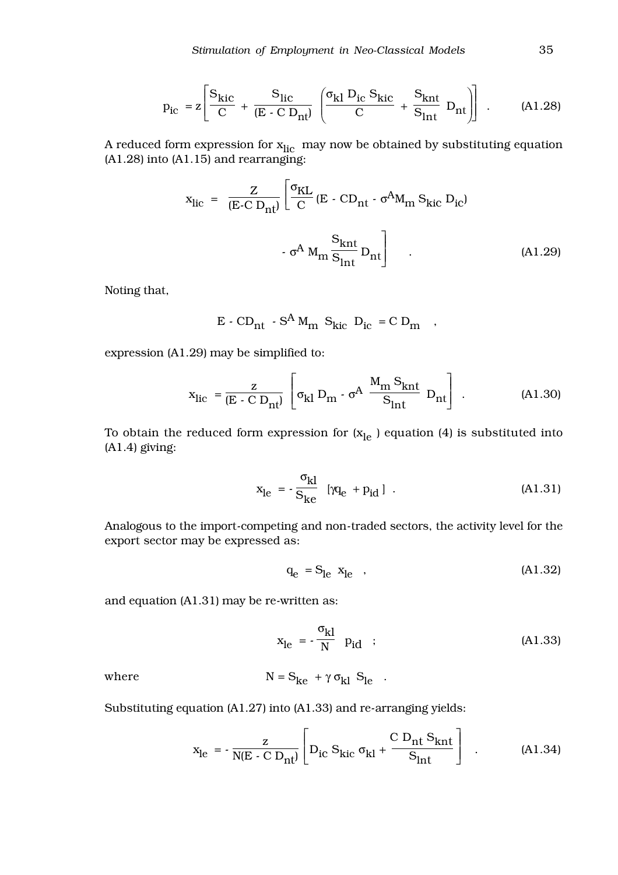$$
p_{ic} = z \left[ \frac{S_{kic}}{C} + \frac{S_{lic}}{(E - C D_{nl})} \left( \frac{\sigma_{kl} D_{ic} S_{kic}}{C} + \frac{S_{knt}}{S_{lnt}} D_{nt} \right) \right] .
$$
 (A1.28)

A reduced form expression for  $\mathbf{x}_{\text{lic}}$  may now be obtained by substituting equation (A1.28) into (A1.15) and rearranging:

$$
x_{\text{lic}} = \frac{Z}{(E-C D_{\text{nt}})} \left[ \frac{\sigma_{\text{KL}}}{C} (E - CD_{\text{nt}} - \sigma^{\text{A}} M_{\text{m}} S_{\text{kic}} D_{\text{ic}}) - \sigma^{\text{A}} M_{\text{m}} \frac{S_{\text{knt}}}{S_{\text{int}}} D_{\text{nt}} \right]
$$
(A1.29)

Noting that,

$$
E - CD_{nt} - S^A M_{nn} S_{kic} D_{ic} = C D_{nn} ,
$$

expression (A1.29) may be simplified to:

$$
x_{\text{lic}} = \frac{z}{(E - C D_{\text{nt}})} \left[ \sigma_{kl} D_{\text{m}} - \sigma^{A} \frac{M_{\text{m}} S_{\text{knt}}}{S_{\text{int}}} D_{\text{nt}} \right].
$$
 (A1.30)

To obtain the reduced form expression for  $(x_{le})$  equation (4) is substituted into (A1.4) giving:

$$
x_{le} = -\frac{\sigma_{kl}}{S_{ke}} \quad [\gamma q_e + p_{id}] \quad . \tag{A1.31}
$$

Analogous to the import-competing and non-traded sectors, the activity level for the export sector may be expressed as:

$$
q_e = S_{le} x_{le} \quad , \tag{A1.32}
$$

and equation (A1.31) may be re-written as:

$$
x_{\text{le}} = -\frac{\sigma_{\text{kl}}}{N} \quad p_{\text{id}} \quad ; \tag{A1.33}
$$

where  $N = S_{ke} + \gamma \sigma_{kl} S_{le}$ .

Substituting equation (A1.27) into (A1.33) and re-arranging yields:

$$
x_{le} = -\frac{z}{N(E - C D_{nt})} \left[ D_{ic} S_{kic} \sigma_{kl} + \frac{C D_{nt} S_{knt}}{S_{int}} \right] .
$$
 (A1.34)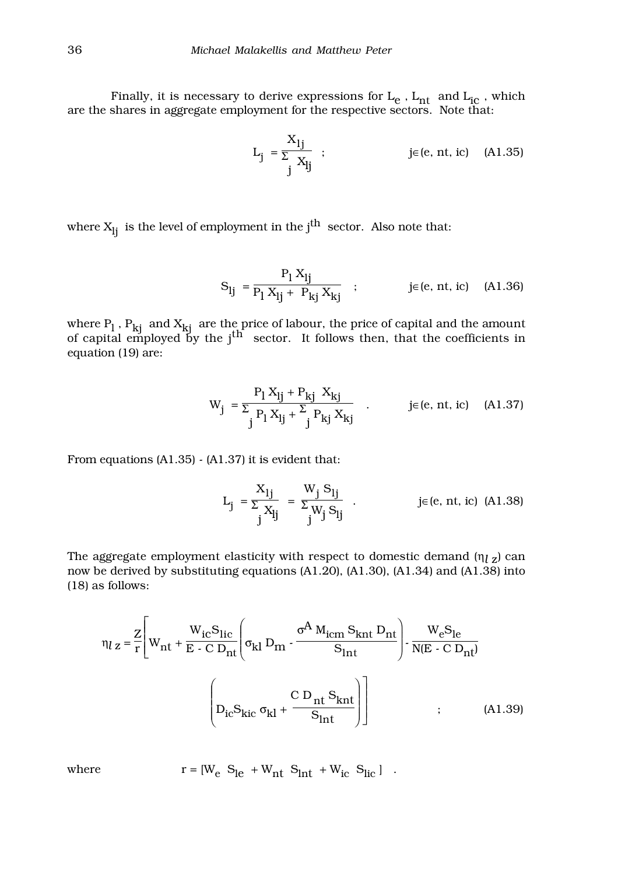Finally, it is necessary to derive expressions for  $L_e$  ,  $L_{nt}$  and  $L_{ic}$  , which are the shares in aggregate employment for the respective sectors. Note that:

$$
L_j = \frac{X_{lj}}{\sum_j X_{lj}} \quad ; \qquad \qquad j \in (e, nt, ic) \quad (A1.35)
$$

where  $X_{lj}$  is the level of employment in the  $j<sup>th</sup>$  sector. Also note that:

$$
S_{lj} = \frac{P_l X_{lj}}{P_l X_{lj} + P_{kj} X_{kj}} \quad ; \qquad j \in (e, nt, ic) \quad (A1.36)
$$

where  $P_l$  ,  $P_{kj}$  and  $X_{kj}$  are the price of labour, the price of capital and the amount of capital employed by the j<sup>th</sup> sector. It follows then, that the coefficients in equation (19) are:

$$
W_{j} = \frac{P_{1} X_{lj} + P_{kj} X_{kj}}{P_{1} X_{lj} + \sum_{j} P_{kj} X_{kj}} \quad . \quad j \in (e, nt, ic) \quad (A1.37)
$$

From equations (A1.35) - (A1.37) it is evident that:

$$
L_{j} = \frac{X_{1j}}{\sum_{j} X_{lj}} = \frac{W_{j} S_{lj}}{\sum_{j} W_{j} S_{lj}}.
$$
 j \in (e, nt, ic) (A1.38)

The aggregate employment elasticity with respect to domestic demand  $(\eta_{l} z)$  can now be derived by substituting equations (A1.20), (A1.30), (A1.34) and (A1.38) into (18) as follows:

$$
\eta_{l} z = \frac{Z}{r} \left[ W_{nt} + \frac{W_{ic} S_{lic}}{E \cdot C D_{nt}} \left( \sigma_{kl} D_{tn} - \frac{\sigma^{A} M_{icm} S_{knt} D_{nt}}{S_{int}} \right) - \frac{W_{e} S_{le}}{N(E \cdot C D_{nt})} \right]
$$

$$
\left( D_{ic} S_{kic} \sigma_{kl} + \frac{C D_{nt} S_{knt}}{S_{int}} \right)
$$
(A1.39)

where  $r = [W_e S_{le} + W_{nt} S_{int} + W_{ic} S_{lic}]$ .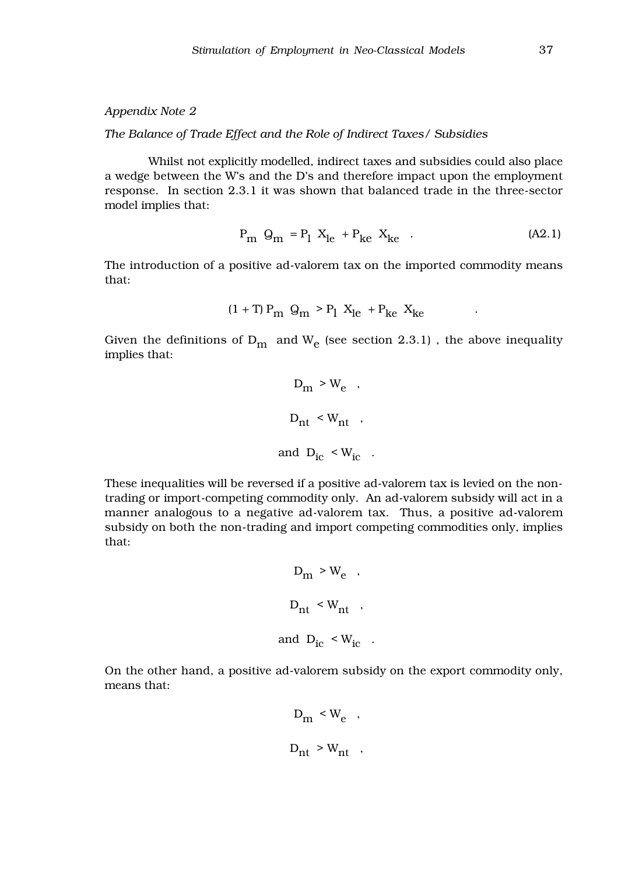*Appendix Note 2*

*The Balance of Trade Effect and the Role of Indirect Taxes/ Subsidies*

Whilst not explicitly modelled, indirect taxes and subsidies could also place a wedge between the W's and the D's and therefore impact upon the employment response. In section 2.3.1 it was shown that balanced trade in the three-sector model implies that:

$$
P_{m} Q_{m} = P_{l} X_{le} + P_{ke} X_{ke} \t . \t (A2.1)
$$

The introduction of a positive ad-valorem tax on the imported commodity means that:

$$
(1+T) P_m Q_m > P_1 X_{le} + P_{ke} X_{ke}
$$

Given the definitions of  $D_m$  and  $W_e$  (see section 2.3.1), the above inequality implies that:

$$
D_{\rm m} > W_{\rm e} ,
$$
  

$$
D_{\rm nt} < W_{\rm nt} ,
$$
  
and 
$$
D_{\rm ic} < W_{\rm ic} .
$$

These inequalities will be reversed if a positive ad-valorem tax is levied on the nontrading or import-competing commodity only. An ad-valorem subsidy will act in a manner analogous to a negative ad-valorem tax. Thus, a positive ad-valorem subsidy on both the non-trading and import competing commodities only, implies that:

$$
D_{\rm m} > W_{\rm e} ,
$$
  

$$
D_{\rm nt} < W_{\rm nt} ,
$$
  
and 
$$
D_{\rm ic} < W_{\rm ic} .
$$

On the other hand, a positive ad-valorem subsidy on the export commodity only, means that:

$$
D_m \leq W_e ,
$$
  

$$
D_{nt} > W_{nt} ,
$$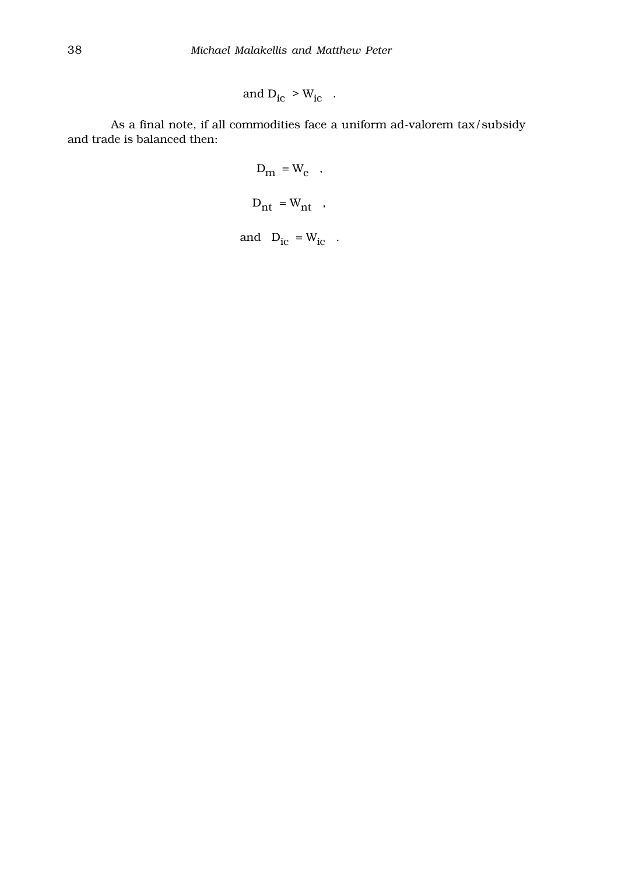and 
$$
D_{ic} > W_{ic}
$$
.

As a final note, if all commodities face a uniform ad-valorem tax/subsidy and trade is balanced then:

$$
D_{m} = W_{e} ,
$$
  

$$
D_{nt} = W_{nt} ,
$$

and  $D_{ic} = W_{ic}$ .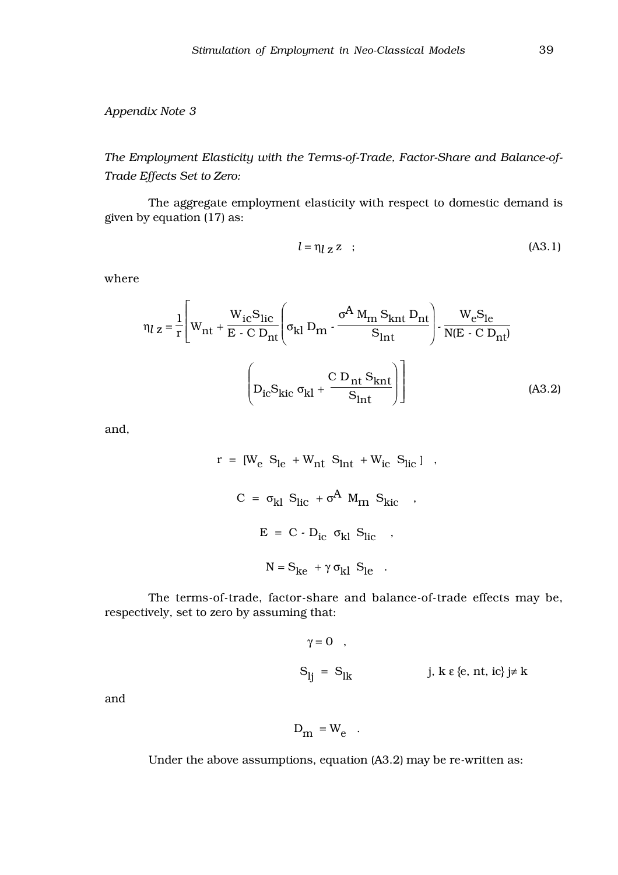*Appendix Note 3*

*The Employment Elasticity with the Terms-of-Trade, Factor-Share and Balance-of-Trade Effects Set to Zero:*

The aggregate employment elasticity with respect to domestic demand is given by equation (17) as:

$$
l = \eta_l z z \quad ; \tag{A3.1}
$$

where

$$
\eta_{l z} = \frac{1}{r} \left[ W_{\text{nt}} + \frac{W_{\text{ic}} S_{\text{lic}}}{E - C D_{\text{nt}}} \left( \sigma_{\text{kl}} D_{\text{m}} - \frac{\sigma^{A} M_{\text{m}} S_{\text{knt}} D_{\text{nt}}}{S_{\text{ln}t}} \right) - \frac{W_{\text{e}} S_{\text{le}}}{N(E - C D_{\text{nt}})}
$$

$$
\left( D_{\text{ic}} S_{\text{kic}} \sigma_{\text{kl}} + \frac{C D_{\text{nt}} S_{\text{knt}}}{S_{\text{ln}t}} \right) \right]
$$
(A3.2)

and,

$$
r = [W_e S_{le} + W_{nt} S_{int} + W_{ic} S_{lic}] ,
$$
  
\n
$$
C = \sigma_{kl} S_{lic} + \sigma^A M_{rn} S_{kic} ,
$$
  
\n
$$
E = C - D_{ic} \sigma_{kl} S_{lic} ,
$$
  
\n
$$
N = S_{ke} + \gamma \sigma_{kl} S_{le} .
$$

The terms-of-trade, factor-share and balance-of-trade effects may be, respectively, set to zero by assuming that:

$$
\gamma = 0 \quad ,
$$
  

$$
S_{lj} = S_{lk} \qquad \qquad j, \ k \ \epsilon \ \{e, \ nt, \ ic\} \ j \neq k
$$

and

$$
D_m = W_e .
$$

Under the above assumptions, equation (A3.2) may be re-written as: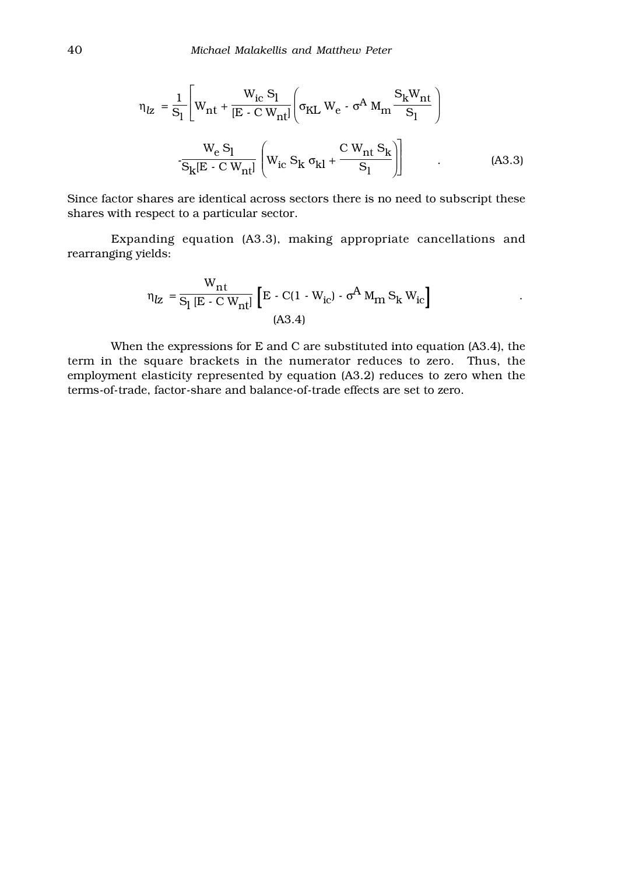$$
\eta_{IZ} = \frac{1}{S_1} \left[ W_{nt} + \frac{W_{ic} S_1}{[E - C W_{nt}]} \left( \sigma_{KL} W_e - \sigma^A M_m \frac{S_k W_{nt}}{S_1} \right) \right]
$$

$$
- \frac{W_e S_1}{S_k [E - C W_{nt}]} \left( W_{ic} S_k \sigma_{kl} + \frac{C W_{nt} S_k}{S_1} \right)
$$
(A3.3)

Since factor shares are identical across sectors there is no need to subscript these shares with respect to a particular sector.

Expanding equation (A3.3), making appropriate cancellations and rearranging yields:

$$
\eta_{Z} = \frac{W_{nt}}{S_l [E - C W_{nt}]} [E - C(1 - W_{ic}) - \sigma^A M_m S_k W_{ic}]
$$
  
(A3.4)

When the expressions for E and C are substituted into equation (A3.4), the term in the square brackets in the numerator reduces to zero. Thus, the employment elasticity represented by equation (A3.2) reduces to zero when the terms-of-trade, factor-share and balance-of-trade effects are set to zero.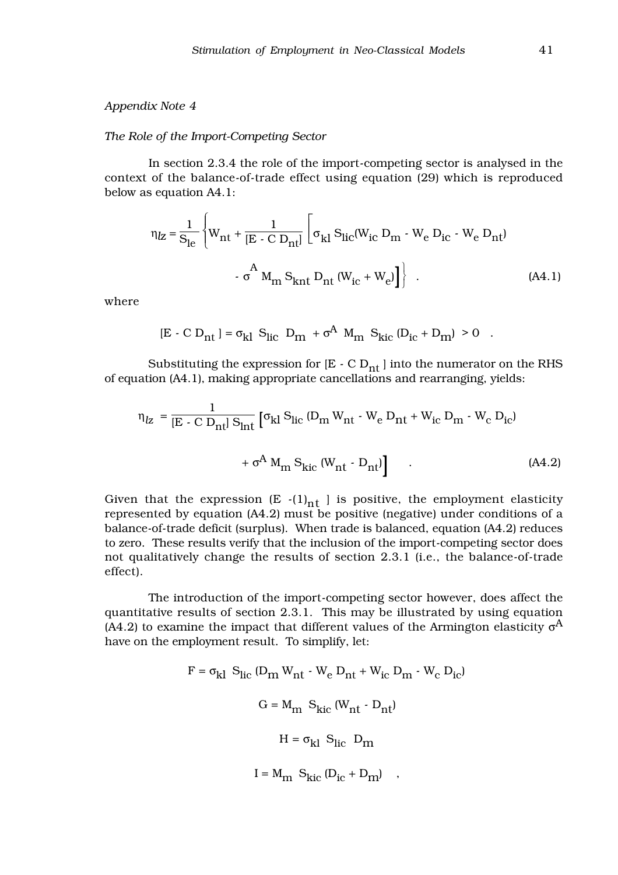#### *The Role of the Import-Competing Sector*

In section 2.3.4 the role of the import-competing sector is analysed in the context of the balance-of-trade effect using equation (29) which is reproduced below as equation A4.1:

$$
\eta_{Z} = \frac{1}{S_{le}} \left\{ W_{nt} + \frac{1}{[E - C D_{nt}]} \left[ \sigma_{kl} S_{lic} (W_{ic} D_{m} - W_{e} D_{ic} - W_{e} D_{nt}) - \sigma^{A} M_{m} S_{knt} D_{nt} (W_{ic} + W_{e}) \right] \right\}.
$$
\n(A4.1)

where

$$
[E \cdot C D_{nt}] = \sigma_{kl} S_{lic} D_{m} + \sigma^{A} M_{m} S_{kic} (D_{ic} + D_{m}) > 0 .
$$

Substituting the expression for  $[E - C D_{nt}]$  into the numerator on the RHS of equation (A4.1), making appropriate cancellations and rearranging, yields:

$$
\eta_{Z} = \frac{1}{\left[E - C D_{\rm nt}\right] S_{\rm int}} \left[\sigma_{\rm kl} S_{\rm lic} \left(D_{\rm m} W_{\rm nt} \cdot W_{\rm e} D_{\rm nt} + W_{\rm ic} D_{\rm m} \cdot W_{\rm c} D_{\rm ic}\right) + \sigma^A M_{\rm m} S_{\rm kick} \left(W_{\rm nt} \cdot D_{\rm nt}\right)\right]
$$
\n(A4.2)

Given that the expression  $(E - (1)_{nt}$  is positive, the employment elasticity represented by equation (A4.2) must be positive (negative) under conditions of a balance-of-trade deficit (surplus). When trade is balanced, equation (A4.2) reduces to zero. These results verify that the inclusion of the import-competing sector does not qualitatively change the results of section 2.3.1 (i.e., the balance-of-trade effect).

The introduction of the import-competing sector however, does affect the quantitative results of section 2.3.1. This may be illustrated by using equation (A4.2) to examine the impact that different values of the Armington elasticity  $\sigma^{A}$ have on the employment result. To simplify, let:

> $F = \sigma_{kl} S_{lic} (D_m W_{nt} - W_e D_{nt} + W_{ic} D_m - W_c D_{ic})$  $G = M_{\rm m} S_{\rm kic} (W_{\rm nt} \cdot D_{\rm nt})$  $H = \sigma_{kl} S_{lic} D_m$  $I = M_{m} S_{\text{kic}} (D_{\text{ic}} + D_{\text{m}})$ ,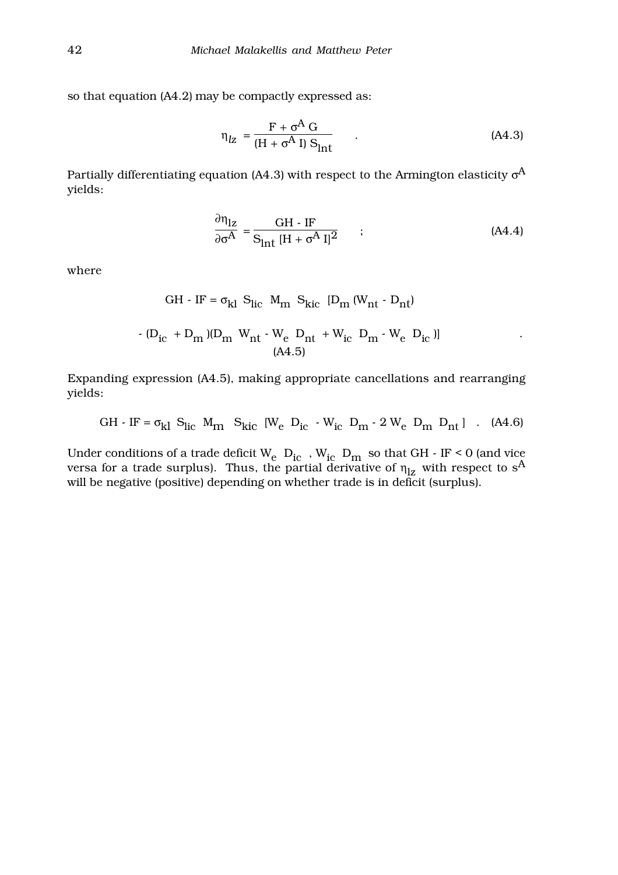so that equation (A4.2) may be compactly expressed as:

$$
\eta_{\text{Iz}} = \frac{F + \sigma^A G}{(H + \sigma^A I) S_{\text{int}}} \tag{A4.3}
$$

Partially differentiating equation (A4.3) with respect to the Armington elasticity  $\sigma^A$ yields:

$$
\frac{\partial \eta_{1z}}{\partial \sigma^A} = \frac{GH - IF}{S_{int} [H + \sigma^A I]^2} \qquad ; \tag{A4.4}
$$

where

GH - IF = 
$$
\sigma_{kl}
$$
 S<sub>lic</sub> M<sub>m</sub> S<sub>kic</sub> [D<sub>m</sub> (W<sub>nt</sub> - D<sub>nt</sub>)  
\n- (D<sub>ic</sub> + D<sub>m</sub>)(D<sub>m</sub> W<sub>nt</sub> - W<sub>e</sub> D<sub>nt</sub> + W<sub>ic</sub> D<sub>m</sub> - W<sub>e</sub> D<sub>ic</sub>)] (A4.5)

Expanding expression (A4.5), making appropriate cancellations and rearranging yields:

GH - IF = 
$$
\sigma_{kl}
$$
 S<sub>lic</sub> M<sub>m</sub> S<sub>kic</sub> [W<sub>e</sub> D<sub>ic</sub> - W<sub>ic</sub> D<sub>m</sub> - 2 W<sub>e</sub> D<sub>m</sub> D<sub>nt</sub>] . (A4.6)

Under conditions of a trade deficit  $W_e$   $D_{ic}$  ,  $W_{ic}$   $D_{m}$  so that GH - IF < 0 (and vice versa for a trade surplus). Thus, the partial derivative of  $\eta_{1z}$  with respect to s<sup>A</sup> will be negative (positive) depending on whether trade is in deficit (surplus).